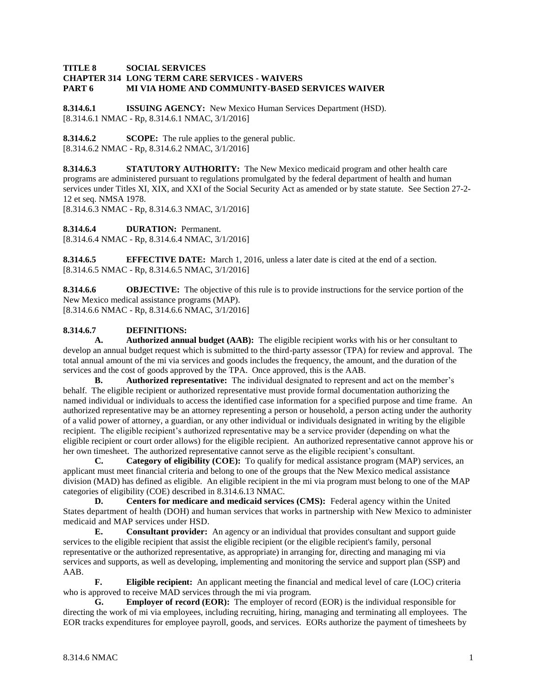## **TITLE 8 SOCIAL SERVICES CHAPTER 314 LONG TERM CARE SERVICES - WAIVERS PART 6 MI VIA HOME AND COMMUNITY-BASED SERVICES WAIVER**

**8.314.6.1 ISSUING AGENCY:** New Mexico Human Services Department (HSD). [8.314.6.1 NMAC - Rp, 8.314.6.1 NMAC, 3/1/2016]

**8.314.6.2 SCOPE:** The rule applies to the general public. [8.314.6.2 NMAC - Rp, 8.314.6.2 NMAC, 3/1/2016]

**8.314.6.3 STATUTORY AUTHORITY:** The New Mexico medicaid program and other health care programs are administered pursuant to regulations promulgated by the federal department of health and human services under Titles XI, XIX, and XXI of the Social Security Act as amended or by state statute. See Section 27-2- 12 et seq. NMSA 1978.

[8.314.6.3 NMAC - Rp, 8.314.6.3 NMAC, 3/1/2016]

**8.314.6.4 DURATION:** Permanent.

[8.314.6.4 NMAC - Rp, 8.314.6.4 NMAC, 3/1/2016]

**8.314.6.5 EFFECTIVE DATE:** March 1, 2016, unless a later date is cited at the end of a section. [8.314.6.5 NMAC - Rp, 8.314.6.5 NMAC, 3/1/2016]

**8.314.6.6 OBJECTIVE:** The objective of this rule is to provide instructions for the service portion of the New Mexico medical assistance programs (MAP). [8.314.6.6 NMAC - Rp, 8.314.6.6 NMAC, 3/1/2016]

## **8.314.6.7 DEFINITIONS:**

**A. Authorized annual budget (AAB):** The eligible recipient works with his or her consultant to develop an annual budget request which is submitted to the third-party assessor (TPA) for review and approval. The total annual amount of the mi via services and goods includes the frequency, the amount, and the duration of the services and the cost of goods approved by the TPA. Once approved, this is the AAB.

**B. Authorized representative:** The individual designated to represent and act on the member's behalf. The eligible recipient or authorized representative must provide formal documentation authorizing the named individual or individuals to access the identified case information for a specified purpose and time frame. An authorized representative may be an attorney representing a person or household, a person acting under the authority of a valid power of attorney, a guardian, or any other individual or individuals designated in writing by the eligible recipient. The eligible recipient's authorized representative may be a service provider (depending on what the eligible recipient or court order allows) for the eligible recipient. An authorized representative cannot approve his or her own timesheet. The authorized representative cannot serve as the eligible recipient's consultant.

**C. Category of eligibility (COE):** To qualify for medical assistance program (MAP) services, an applicant must meet financial criteria and belong to one of the groups that the New Mexico medical assistance division (MAD) has defined as eligible. An eligible recipient in the mi via program must belong to one of the MAP categories of eligibility (COE) described in 8.314.6.13 NMAC.

**D. Centers for medicare and medicaid services (CMS):** Federal agency within the United States department of health (DOH) and human services that works in partnership with New Mexico to administer medicaid and MAP services under HSD.

**E. Consultant provider:** An agency or an individual that provides consultant and support guide services to the eligible recipient that assist the eligible recipient (or the eligible recipient's family, personal representative or the authorized representative, as appropriate) in arranging for, directing and managing mi via services and supports, as well as developing, implementing and monitoring the service and support plan (SSP) and AAB.

**F. Eligible recipient:** An applicant meeting the financial and medical level of care (LOC) criteria who is approved to receive MAD services through the mi via program.

**G. Employer of record (EOR):** The employer of record (EOR) is the individual responsible for directing the work of mi via employees, including recruiting, hiring, managing and terminating all employees. The EOR tracks expenditures for employee payroll, goods, and services. EORs authorize the payment of timesheets by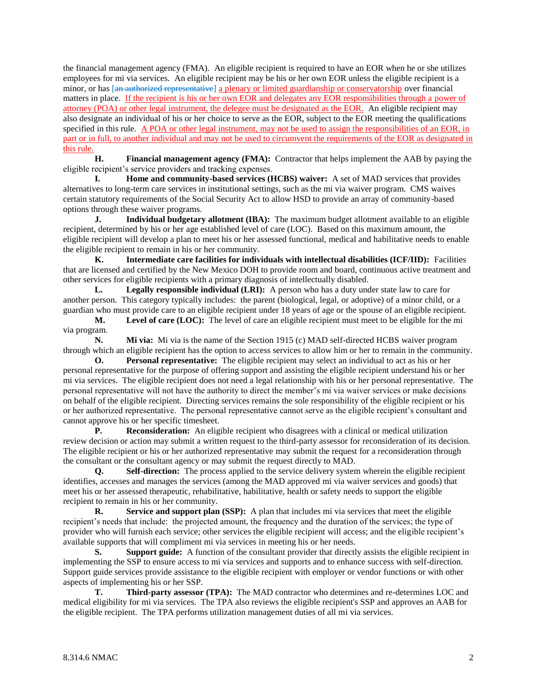the financial management agency (FMA). An eligible recipient is required to have an EOR when he or she utilizes employees for mi via services. An eligible recipient may be his or her own EOR unless the eligible recipient is a minor, or has [an authorized representative] a plenary or limited guardianship or conservatorship over financial matters in place. If the recipient is his or her own EOR and delegates any EOR responsibilities through a power of attorney (POA) or other legal instrument, the delegee must be designated as the EOR. An eligible recipient may also designate an individual of his or her choice to serve as the EOR, subject to the EOR meeting the qualifications specified in this rule. A POA or other legal instrument, may not be used to assign the responsibilities of an EOR, in part or in full, to another individual and may not be used to circumvent the requirements of the EOR as designated in this rule.

**H. Financial management agency (FMA):** Contractor that helps implement the AAB by paying the eligible recipient's service providers and tracking expenses.

**I. Home and community-based services (HCBS) waiver:** A set of MAD services that provides alternatives to long-term care services in institutional settings, such as the mi via waiver program. CMS waives certain statutory requirements of the Social Security Act to allow HSD to provide an array of community-based options through these waiver programs.

**J. Individual budgetary allotment (IBA):** The maximum budget allotment available to an eligible recipient, determined by his or her age established level of care (LOC). Based on this maximum amount, the eligible recipient will develop a plan to meet his or her assessed functional, medical and habilitative needs to enable the eligible recipient to remain in his or her community.

**K. Intermediate care facilities for individuals with intellectual disabilities (ICF/IID):** Facilities that are licensed and certified by the New Mexico DOH to provide room and board, continuous active treatment and other services for eligible recipients with a primary diagnosis of intellectually disabled.

**L. Legally responsible individual (LRI):** A person who has a duty under state law to care for another person. This category typically includes: the parent (biological, legal, or adoptive) of a minor child, or a guardian who must provide care to an eligible recipient under 18 years of age or the spouse of an eligible recipient.

**M. Level of care (LOC):** The level of care an eligible recipient must meet to be eligible for the mi via program.

**N. Mi via:** Mi via is the name of the Section 1915 (c) MAD self-directed HCBS waiver program through which an eligible recipient has the option to access services to allow him or her to remain in the community.

**O. Personal representative:** The eligible recipient may select an individual to act as his or her personal representative for the purpose of offering support and assisting the eligible recipient understand his or her mi via services. The eligible recipient does not need a legal relationship with his or her personal representative. The personal representative will not have the authority to direct the member's mi via waiver services or make decisions on behalf of the eligible recipient. Directing services remains the sole responsibility of the eligible recipient or his or her authorized representative. The personal representative cannot serve as the eligible recipient's consultant and cannot approve his or her specific timesheet.

**P. Reconsideration:** An eligible recipient who disagrees with a clinical or medical utilization review decision or action may submit a written request to the third-party assessor for reconsideration of its decision. The eligible recipient or his or her authorized representative may submit the request for a reconsideration through the consultant or the consultant agency or may submit the request directly to MAD.

**Q. Self-direction:** The process applied to the service delivery system wherein the eligible recipient identifies, accesses and manages the services (among the MAD approved mi via waiver services and goods) that meet his or her assessed therapeutic, rehabilitative, habilitative, health or safety needs to support the eligible recipient to remain in his or her community.

**R. Service and support plan (SSP):** A plan that includes mi via services that meet the eligible recipient's needs that include: the projected amount, the frequency and the duration of the services; the type of provider who will furnish each service; other services the eligible recipient will access; and the eligible recipient's available supports that will compliment mi via services in meeting his or her needs.

**S. Support guide:** A function of the consultant provider that directly assists the eligible recipient in implementing the SSP to ensure access to mi via services and supports and to enhance success with self-direction. Support guide services provide assistance to the eligible recipient with employer or vendor functions or with other aspects of implementing his or her SSP.

**T. Third-party assessor (TPA):** The MAD contractor who determines and re-determines LOC and medical eligibility for mi via services. The TPA also reviews the eligible recipient's SSP and approves an AAB for the eligible recipient. The TPA performs utilization management duties of all mi via services.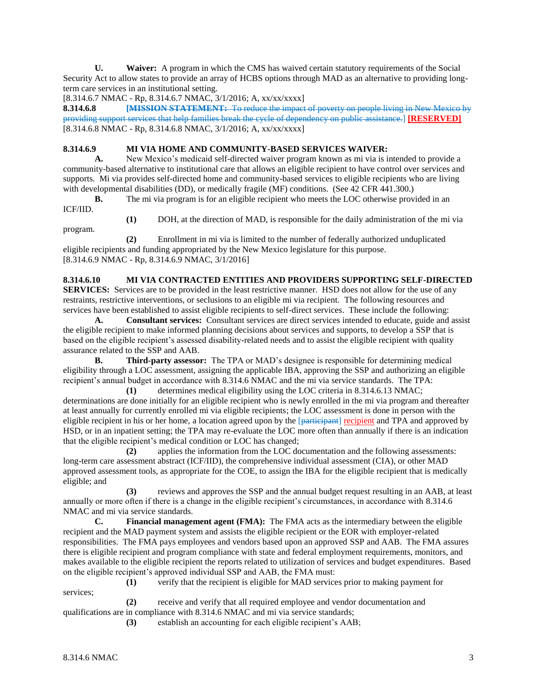**U. Waiver:** A program in which the CMS has waived certain statutory requirements of the Social Security Act to allow states to provide an array of HCBS options through MAD as an alternative to providing longterm care services in an institutional setting.

[8.314.6.7 NMAC - Rp, 8.314.6.7 NMAC, 3/1/2016; A, xx/xx/xxxx]

**8.314.6.8 [MISSION STATEMENT:** To reduce the impact of poverty on people living in New Mexico by providing support services that help families break the cycle of dependency on public assistance.] **[RESERVED]** [8.314.6.8 NMAC - Rp, 8.314.6.8 NMAC, 3/1/2016; A, xx/xx/xxxx]

## **8.314.6.9 MI VIA HOME AND COMMUNITY-BASED SERVICES WAIVER:**

**A.** New Mexico's medicaid self-directed waiver program known as mi via is intended to provide a community-based alternative to institutional care that allows an eligible recipient to have control over services and supports. Mi via provides self-directed home and community-based services to eligible recipients who are living with developmental disabilities (DD), or medically fragile (MF) conditions. (See 42 CFR 441.300.)

**B.** The mi via program is for an eligible recipient who meets the LOC otherwise provided in an

ICF/IID.

- 
- **(1)** DOH, at the direction of MAD, is responsible for the daily administration of the mi via

program.

**(2)** Enrollment in mi via is limited to the number of federally authorized unduplicated eligible recipients and funding appropriated by the New Mexico legislature for this purpose. [8.314.6.9 NMAC - Rp, 8.314.6.9 NMAC, 3/1/2016]

**8.314.6.10 MI VIA CONTRACTED ENTITIES AND PROVIDERS SUPPORTING SELF-DIRECTED SERVICES:** Services are to be provided in the least restrictive manner. HSD does not allow for the use of any restraints, restrictive interventions, or seclusions to an eligible mi via recipient. The following resources and services have been established to assist eligible recipients to self-direct services. These include the following:

**A. Consultant services:** Consultant services are direct services intended to educate, guide and assist the eligible recipient to make informed planning decisions about services and supports, to develop a SSP that is based on the eligible recipient's assessed disability-related needs and to assist the eligible recipient with quality assurance related to the SSP and AAB.

**B. Third-party assessor:** The TPA or MAD's designee is responsible for determining medical eligibility through a LOC assessment, assigning the applicable IBA, approving the SSP and authorizing an eligible recipient's annual budget in accordance with 8.314.6 NMAC and the mi via service standards. The TPA:

**(1)** determines medical eligibility using the LOC criteria in 8.314.6.13 NMAC; determinations are done initially for an eligible recipient who is newly enrolled in the mi via program and thereafter at least annually for currently enrolled mi via eligible recipients; the LOC assessment is done in person with the eligible recipient in his or her home, a location agreed upon by the [participant] recipient and TPA and approved by HSD, or in an inpatient setting; the TPA may re-evaluate the LOC more often than annually if there is an indication that the eligible recipient's medical condition or LOC has changed;

**(2)** applies the information from the LOC documentation and the following assessments: long-term care assessment abstract (ICF/IID), the comprehensive individual assessment (CIA), or other MAD approved assessment tools, as appropriate for the COE, to assign the IBA for the eligible recipient that is medically eligible; and

**(3)** reviews and approves the SSP and the annual budget request resulting in an AAB, at least annually or more often if there is a change in the eligible recipient's circumstances, in accordance with 8.314.6 NMAC and mi via service standards.

**C. Financial management agent (FMA):** The FMA acts as the intermediary between the eligible recipient and the MAD payment system and assists the eligible recipient or the EOR with employer-related responsibilities. The FMA pays employees and vendors based upon an approved SSP and AAB. The FMA assures there is eligible recipient and program compliance with state and federal employment requirements, monitors, and makes available to the eligible recipient the reports related to utilization of services and budget expenditures. Based on the eligible recipient's approved individual SSP and AAB, the FMA must:

services;

**(1)** verify that the recipient is eligible for MAD services prior to making payment for

**(2)** receive and verify that all required employee and vendor documentation and qualifications are in compliance with 8.314.6 NMAC and mi via service standards;

**(3)** establish an accounting for each eligible recipient's AAB;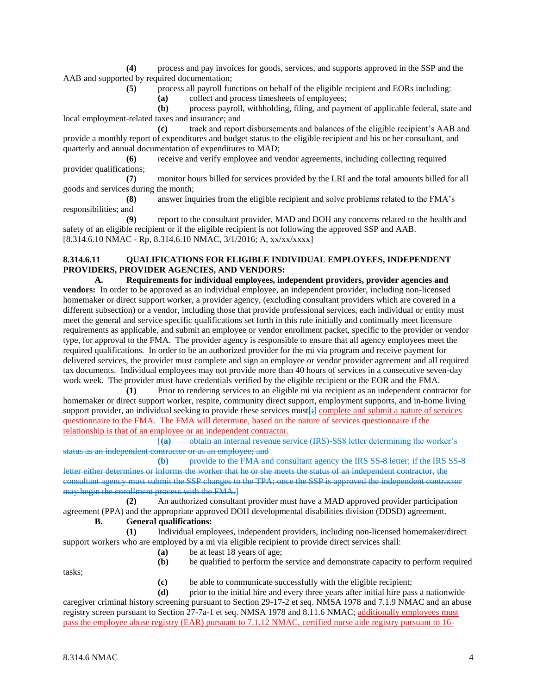**(4)** process and pay invoices for goods, services, and supports approved in the SSP and the AAB and supported by required documentation;

**(5)** process all payroll functions on behalf of the eligible recipient and EORs including:

**(a)** collect and process timesheets of employees;

**(b)** process payroll, withholding, filing, and payment of applicable federal, state and local employment-related taxes and insurance; and

**(c)** track and report disbursements and balances of the eligible recipient's AAB and provide a monthly report of expenditures and budget status to the eligible recipient and his or her consultant, and quarterly and annual documentation of expenditures to MAD;

**(6)** receive and verify employee and vendor agreements, including collecting required provider qualifications;

**(7)** monitor hours billed for services provided by the LRI and the total amounts billed for all goods and services during the month;

**(8)** answer inquiries from the eligible recipient and solve problems related to the FMA's responsibilities; and

**(9)** report to the consultant provider, MAD and DOH any concerns related to the health and safety of an eligible recipient or if the eligible recipient is not following the approved SSP and AAB. [8.314.6.10 NMAC - Rp, 8.314.6.10 NMAC, 3/1/2016; A, xx/xx/xxxx]

## **8.314.6.11 QUALIFICATIONS FOR ELIGIBLE INDIVIDUAL EMPLOYEES, INDEPENDENT PROVIDERS, PROVIDER AGENCIES, AND VENDORS:**

**A. Requirements for individual employees, independent providers, provider agencies and vendors:** In order to be approved as an individual employee, an independent provider, including non-licensed homemaker or direct support worker, a provider agency, (excluding consultant providers which are covered in a different subsection) or a vendor, including those that provide professional services, each individual or entity must meet the general and service specific qualifications set forth in this rule initially and continually meet licensure requirements as applicable, and submit an employee or vendor enrollment packet, specific to the provider or vendor type, for approval to the FMA. The provider agency is responsible to ensure that all agency employees meet the required qualifications. In order to be an authorized provider for the mi via program and receive payment for delivered services, the provider must complete and sign an employee or vendor provider agreement and all required tax documents. Individual employees may not provide more than 40 hours of services in a consecutive seven-day work week. The provider must have credentials verified by the eligible recipient or the EOR and the FMA.

**(1)** Prior to rendering services to an eligible mi via recipient as an independent contractor for homemaker or direct support worker, respite, community direct support, employment supports, and in-home living support provider, an individual seeking to provide these services must[ $\frac{1}{2}$ ] complete and submit a nature of services questionnaire to the FMA. The FMA will determine, based on the nature of services questionnaire if the relationship is that of an employee or an independent contractor.

[**(a)** obtain an internal revenue service (IRS)-SS8 letter determining the worker's status as an independent contractor or as an employee; and

**(b)** provide to the FMA and consultant agency the IRS SS-8 letter; if the IRS SS-8 letter either determines or informs the worker that he or she meets the status of an independent contractor, the consultant agency must submit the SSP changes to the TPA; once the SSP is approved the independent contractor may begin the enrollment process with the FMA.]

**(2)** An authorized consultant provider must have a MAD approved provider participation agreement (PPA) and the appropriate approved DOH developmental disabilities division (DDSD) agreement.

# **B. General qualifications:**

**(1)** Individual employees, independent providers, including non-licensed homemaker/direct support workers who are employed by a mi via eligible recipient to provide direct services shall:

- **(a)** be at least 18 years of age;
- **(b)** be qualified to perform the service and demonstrate capacity to perform required

tasks;

- **(c)** be able to communicate successfully with the eligible recipient;
- **(d)** prior to the initial hire and every three years after initial hire pass a nationwide

caregiver criminal history screening pursuant to Section 29-17-2 et seq. NMSA 1978 and 7.1.9 NMAC and an abuse registry screen pursuant to Section 27-7a-1 et seq. NMSA 1978 and 8.11.6 NMAC; additionally employees must pass the employee abuse registry (EAR) pursuant to 7.1.12 NMAC, certified nurse aide registry pursuant to 16-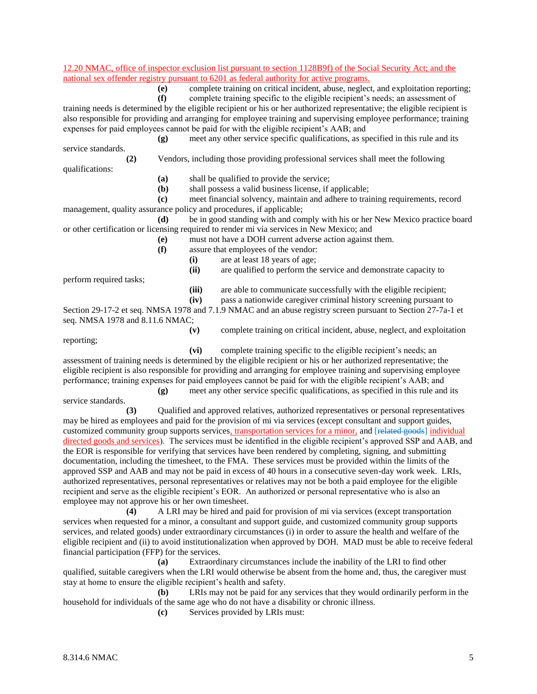#### 12.20 NMAC, office of inspector exclusion list pursuant to section 1128B9f) of the Social Security Act; and the national sex offender registry pursuant to 6201 as federal authority for active programs.

**(e)** complete training on critical incident, abuse, neglect, and exploitation reporting;

**(f)** complete training specific to the eligible recipient's needs; an assessment of

training needs is determined by the eligible recipient or his or her authorized representative; the eligible recipient is also responsible for providing and arranging for employee training and supervising employee performance; training expenses for paid employees cannot be paid for with the eligible recipient's AAB; and

**(g)** meet any other service specific qualifications, as specified in this rule and its service standards.

**(2)** Vendors, including those providing professional services shall meet the following

qualifications:

- **(a)** shall be qualified to provide the service;
- **(b)** shall possess a valid business license, if applicable;

**(c)** meet financial solvency, maintain and adhere to training requirements, record management, quality assurance policy and procedures, if applicable;

**(d)** be in good standing with and comply with his or her New Mexico practice board or other certification or licensing required to render mi via services in New Mexico; and

- **(e)** must not have a DOH current adverse action against them.
- **(f)** assure that employees of the vendor:
	- **(i)** are at least 18 years of age;
	- **(ii)** are qualified to perform the service and demonstrate capacity to

perform required tasks;

- **(iii)** are able to communicate successfully with the eligible recipient;
- **(iv)** pass a nationwide caregiver criminal history screening pursuant to

Section 29-17-2 et seq. NMSA 1978 and 7.1.9 NMAC and an abuse registry screen pursuant to Section 27-7a-1 et seq. NMSA 1978 and 8.11.6 NMAC;

reporting;

**(v)** complete training on critical incident, abuse, neglect, and exploitation

**(vi)** complete training specific to the eligible recipient's needs; an assessment of training needs is determined by the eligible recipient or his or her authorized representative; the eligible recipient is also responsible for providing and arranging for employee training and supervising employee performance; training expenses for paid employees cannot be paid for with the eligible recipient's AAB; and

**(g)** meet any other service specific qualifications, as specified in this rule and its service standards.

**(3)** Qualified and approved relatives, authorized representatives or personal representatives may be hired as employees and paid for the provision of mi via services (except consultant and support guides, customized community group supports services, transportation services for a minor, and [related goods] individual directed goods and services). The services must be identified in the eligible recipient's approved SSP and AAB, and the EOR is responsible for verifying that services have been rendered by completing, signing, and submitting documentation, including the timesheet, to the FMA. These services must be provided within the limits of the approved SSP and AAB and may not be paid in excess of 40 hours in a consecutive seven-day work week. LRIs, authorized representatives, personal representatives or relatives may not be both a paid employee for the eligible recipient and serve as the eligible recipient's EOR. An authorized or personal representative who is also an employee may not approve his or her own timesheet.

**(4)** A LRI may be hired and paid for provision of mi via services (except transportation services when requested for a minor, a consultant and support guide, and customized community group supports services, and related goods) under extraordinary circumstances (i) in order to assure the health and welfare of the eligible recipient and (ii) to avoid institutionalization when approved by DOH. MAD must be able to receive federal financial participation (FFP) for the services.

**(a)** Extraordinary circumstances include the inability of the LRI to find other qualified, suitable caregivers when the LRI would otherwise be absent from the home and, thus, the caregiver must stay at home to ensure the eligible recipient's health and safety.

**(b)** LRIs may not be paid for any services that they would ordinarily perform in the household for individuals of the same age who do not have a disability or chronic illness.

**(c)** Services provided by LRIs must: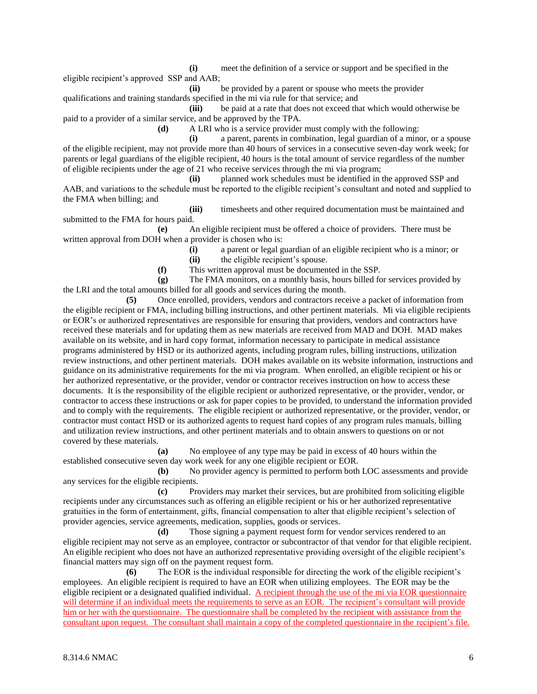**(i)** meet the definition of a service or support and be specified in the eligible recipient's approved SSP and AAB; **(ii)** be provided by a parent or spouse who meets the provider

qualifications and training standards specified in the mi via rule for that service; and **(iii)** be paid at a rate that does not exceed that which would otherwise be

paid to a provider of a similar service, and be approved by the TPA.

**(d)** A LRI who is a service provider must comply with the following:

**(i)** a parent, parents in combination, legal guardian of a minor, or a spouse of the eligible recipient, may not provide more than 40 hours of services in a consecutive seven-day work week; for parents or legal guardians of the eligible recipient, 40 hours is the total amount of service regardless of the number of eligible recipients under the age of 21 who receive services through the mi via program;

**(ii)** planned work schedules must be identified in the approved SSP and AAB, and variations to the schedule must be reported to the eligible recipient's consultant and noted and supplied to the FMA when billing; and

**(iii)** timesheets and other required documentation must be maintained and submitted to the FMA for hours paid.

**(e)** An eligible recipient must be offered a choice of providers. There must be written approval from DOH when a provider is chosen who is:

> **(i)** a parent or legal guardian of an eligible recipient who is a minor; or **(ii)** the eligible recipient's spouse.

**(f)** This written approval must be documented in the SSP.

**(g)** The FMA monitors, on a monthly basis, hours billed for services provided by the LRI and the total amounts billed for all goods and services during the month.

**(5)** Once enrolled, providers, vendors and contractors receive a packet of information from the eligible recipient or FMA, including billing instructions, and other pertinent materials. Mi via eligible recipients or EOR's or authorized representatives are responsible for ensuring that providers, vendors and contractors have received these materials and for updating them as new materials are received from MAD and DOH. MAD makes available on its website, and in hard copy format, information necessary to participate in medical assistance programs administered by HSD or its authorized agents, including program rules, billing instructions, utilization review instructions, and other pertinent materials. DOH makes available on its website information, instructions and guidance on its administrative requirements for the mi via program. When enrolled, an eligible recipient or his or her authorized representative, or the provider, vendor or contractor receives instruction on how to access these documents. It is the responsibility of the eligible recipient or authorized representative, or the provider, vendor, or contractor to access these instructions or ask for paper copies to be provided, to understand the information provided and to comply with the requirements. The eligible recipient or authorized representative, or the provider, vendor, or contractor must contact HSD or its authorized agents to request hard copies of any program rules manuals, billing and utilization review instructions, and other pertinent materials and to obtain answers to questions on or not covered by these materials.

**(a)** No employee of any type may be paid in excess of 40 hours within the established consecutive seven day work week for any one eligible recipient or EOR.

**(b)** No provider agency is permitted to perform both LOC assessments and provide any services for the eligible recipients.

**(c)** Providers may market their services, but are prohibited from soliciting eligible recipients under any circumstances such as offering an eligible recipient or his or her authorized representative gratuities in the form of entertainment, gifts, financial compensation to alter that eligible recipient's selection of provider agencies, service agreements, medication, supplies, goods or services.

**(d)** Those signing a payment request form for vendor services rendered to an eligible recipient may not serve as an employee, contractor or subcontractor of that vendor for that eligible recipient. An eligible recipient who does not have an authorized representative providing oversight of the eligible recipient's financial matters may sign off on the payment request form.

**(6)** The EOR is the individual responsible for directing the work of the eligible recipient's employees. An eligible recipient is required to have an EOR when utilizing employees. The EOR may be the eligible recipient or a designated qualified individual. A recipient through the use of the mi via EOR questionnaire will determine if an individual meets the requirements to serve as an EOR. The recipient's consultant will provide him or her with the questionnaire. The questionnaire shall be completed by the recipient with assistance from the consultant upon request. The consultant shall maintain a copy of the completed questionnaire in the recipient's file.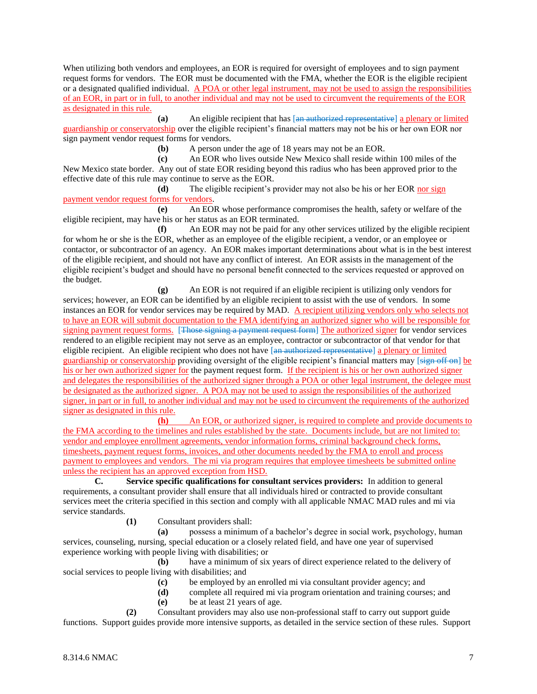When utilizing both vendors and employees, an EOR is required for oversight of employees and to sign payment request forms for vendors. The EOR must be documented with the FMA, whether the EOR is the eligible recipient or a designated qualified individual. A POA or other legal instrument, may not be used to assign the responsibilities of an EOR, in part or in full, to another individual and may not be used to circumvent the requirements of the EOR as designated in this rule.

**(a)** An eligible recipient that has [an authorized representative] a plenary or limited guardianship or conservatorship over the eligible recipient's financial matters may not be his or her own EOR nor sign payment vendor request forms for vendors.

**(b)** A person under the age of 18 years may not be an EOR.

**(c)** An EOR who lives outside New Mexico shall reside within 100 miles of the New Mexico state border. Any out of state EOR residing beyond this radius who has been approved prior to the effective date of this rule may continue to serve as the EOR.

**(d)** The eligible recipient's provider may not also be his or her EOR nor sign payment vendor request forms for vendors.

**(e)** An EOR whose performance compromises the health, safety or welfare of the eligible recipient, may have his or her status as an EOR terminated.

**(f)** An EOR may not be paid for any other services utilized by the eligible recipient for whom he or she is the EOR, whether as an employee of the eligible recipient, a vendor, or an employee or contactor, or subcontractor of an agency. An EOR makes important determinations about what is in the best interest of the eligible recipient, and should not have any conflict of interest. An EOR assists in the management of the eligible recipient's budget and should have no personal benefit connected to the services requested or approved on the budget.

**(g)** An EOR is not required if an eligible recipient is utilizing only vendors for services; however, an EOR can be identified by an eligible recipient to assist with the use of vendors. In some instances an EOR for vendor services may be required by MAD. A recipient utilizing vendors only who selects not to have an EOR will submit documentation to the FMA identifying an authorized signer who will be responsible for signing payment request forms. [Those signing a payment request form] The authorized signer for vendor services rendered to an eligible recipient may not serve as an employee, contractor or subcontractor of that vendor for that eligible recipient. An eligible recipient who does not have [an authorized representative] a plenary or limited guardianship or conservatorship providing oversight of the eligible recipient's financial matters may [sign off on] be his or her own authorized signer for the payment request form. If the recipient is his or her own authorized signer and delegates the responsibilities of the authorized signer through a POA or other legal instrument, the delegee must be designated as the authorized signer. A POA may not be used to assign the responsibilities of the authorized signer, in part or in full, to another individual and may not be used to circumvent the requirements of the authorized signer as designated in this rule.

**(h)** An EOR, or authorized signer, is required to complete and provide documents to the FMA according to the timelines and rules established by the state. Documents include, but are not limited to: vendor and employee enrollment agreements, vendor information forms, criminal background check forms, timesheets, payment request forms, invoices, and other documents needed by the FMA to enroll and process payment to employees and vendors. The mi via program requires that employee timesheets be submitted online unless the recipient has an approved exception from HSD.

**C. Service specific qualifications for consultant services providers:** In addition to general requirements, a consultant provider shall ensure that all individuals hired or contracted to provide consultant services meet the criteria specified in this section and comply with all applicable NMAC MAD rules and mi via service standards.

**(1)** Consultant providers shall:

**(a)** possess a minimum of a bachelor's degree in social work, psychology, human services, counseling, nursing, special education or a closely related field, and have one year of supervised experience working with people living with disabilities; or

**(b)** have a minimum of six years of direct experience related to the delivery of social services to people living with disabilities; and

- **(c)** be employed by an enrolled mi via consultant provider agency; and
- **(d)** complete all required mi via program orientation and training courses; and
- **(e)** be at least 21 years of age.

**(2)** Consultant providers may also use non-professional staff to carry out support guide functions. Support guides provide more intensive supports, as detailed in the service section of these rules. Support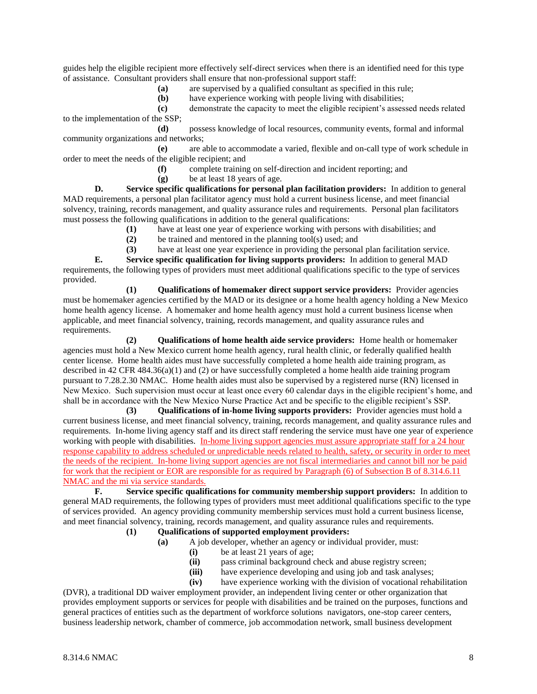guides help the eligible recipient more effectively self-direct services when there is an identified need for this type of assistance. Consultant providers shall ensure that non-professional support staff:

**(a)** are supervised by a qualified consultant as specified in this rule;

**(b)** have experience working with people living with disabilities;

**(c)** demonstrate the capacity to meet the eligible recipient's assessed needs related to the implementation of the SSP;

**(d)** possess knowledge of local resources, community events, formal and informal community organizations and networks;

**(e)** are able to accommodate a varied, flexible and on-call type of work schedule in order to meet the needs of the eligible recipient; and

- **(f)** complete training on self-direction and incident reporting; and
- **(g)** be at least 18 years of age.

**D. Service specific qualifications for personal plan facilitation providers:** In addition to general MAD requirements, a personal plan facilitator agency must hold a current business license, and meet financial solvency, training, records management, and quality assurance rules and requirements. Personal plan facilitators must possess the following qualifications in addition to the general qualifications:

**(1)** have at least one year of experience working with persons with disabilities; and

**(2)** be trained and mentored in the planning tool(s) used; and

**(3)** have at least one year experience in providing the personal plan facilitation service.

**E. Service specific qualification for living supports providers:** In addition to general MAD requirements, the following types of providers must meet additional qualifications specific to the type of services provided.

**(1) Qualifications of homemaker direct support service providers:** Provider agencies must be homemaker agencies certified by the MAD or its designee or a home health agency holding a New Mexico home health agency license. A homemaker and home health agency must hold a current business license when applicable, and meet financial solvency, training, records management, and quality assurance rules and requirements.

**(2) Qualifications of home health aide service providers:** Home health or homemaker agencies must hold a New Mexico current home health agency, rural health clinic, or federally qualified health center license. Home health aides must have successfully completed a home health aide training program, as described in 42 CFR 484.36(a)(1) and (2) or have successfully completed a home health aide training program pursuant to 7.28.2.30 NMAC. Home health aides must also be supervised by a registered nurse (RN) licensed in New Mexico. Such supervision must occur at least once every 60 calendar days in the eligible recipient's home, and shall be in accordance with the New Mexico Nurse Practice Act and be specific to the eligible recipient's SSP.

**(3) Qualifications of in-home living supports providers:** Provider agencies must hold a current business license, and meet financial solvency, training, records management, and quality assurance rules and requirements. In-home living agency staff and its direct staff rendering the service must have one year of experience working with people with disabilities. In-home living support agencies must assure appropriate staff for a 24 hour response capability to address scheduled or unpredictable needs related to health, safety, or security in order to meet the needs of the recipient. In-home living support agencies are not fiscal intermediaries and cannot bill nor be paid for work that the recipient or EOR are responsible for as required by Paragraph (6) of Subsection B of 8.314.6.11 NMAC and the mi via service standards.

**F. Service specific qualifications for community membership support providers:** In addition to general MAD requirements, the following types of providers must meet additional qualifications specific to the type of services provided. An agency providing community membership services must hold a current business license, and meet financial solvency, training, records management, and quality assurance rules and requirements.

## **(1) Qualifications of supported employment providers:**

- **(a)** A job developer, whether an agency or individual provider, must:
	- **(i)** be at least 21 years of age;
	- **(ii)** pass criminal background check and abuse registry screen;
	- **(iii)** have experience developing and using job and task analyses;
	- **(iv)** have experience working with the division of vocational rehabilitation

(DVR), a traditional DD waiver employment provider, an independent living center or other organization that provides employment supports or services for people with disabilities and be trained on the purposes, functions and general practices of entities such as the department of workforce solutions navigators, one-stop career centers, business leadership network, chamber of commerce, job accommodation network, small business development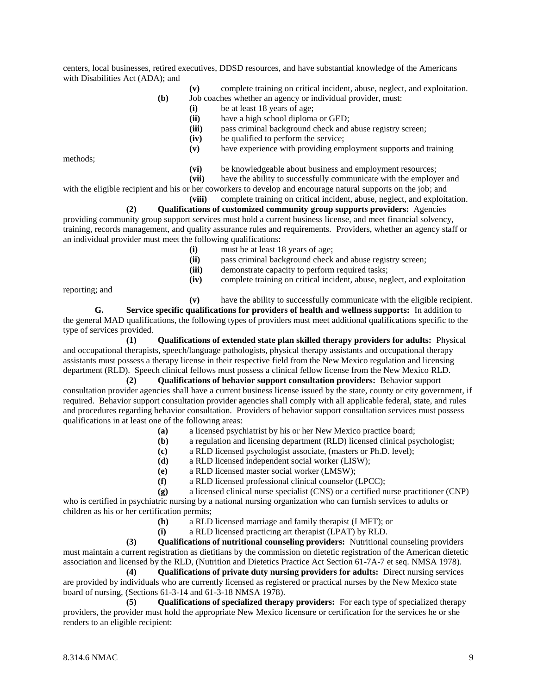centers, local businesses, retired executives, DDSD resources, and have substantial knowledge of the Americans with Disabilities Act (ADA); and

- **(v)** complete training on critical incident, abuse, neglect, and exploitation.
- **(b)** Job coaches whether an agency or individual provider, must:
	- **(i)** be at least 18 years of age;
	- **(ii)** have a high school diploma or GED;
	- **(iii)** pass criminal background check and abuse registry screen;
	- **(iv)** be qualified to perform the service;
	- **(v)** have experience with providing employment supports and training

methods;

- **(vi)** be knowledgeable about business and employment resources;
- **(vii)** have the ability to successfully communicate with the employer and

with the eligible recipient and his or her coworkers to develop and encourage natural supports on the job; and **(viii)** complete training on critical incident, abuse, neglect, and exploitation.

**(2) Qualifications of customized community group supports providers:** Agencies providing community group support services must hold a current business license, and meet financial solvency, training, records management, and quality assurance rules and requirements. Providers, whether an agency staff or an individual provider must meet the following qualifications:

- **(i)** must be at least 18 years of age;
- **(ii)** pass criminal background check and abuse registry screen;
- **(iii)** demonstrate capacity to perform required tasks;
- **(iv)** complete training on critical incident, abuse, neglect, and exploitation

reporting; and

**(v)** have the ability to successfully communicate with the eligible recipient.

**G. Service specific qualifications for providers of health and wellness supports:** In addition to the general MAD qualifications, the following types of providers must meet additional qualifications specific to the type of services provided.

**(1) Qualifications of extended state plan skilled therapy providers for adults:** Physical and occupational therapists, speech/language pathologists, physical therapy assistants and occupational therapy assistants must possess a therapy license in their respective field from the New Mexico regulation and licensing department (RLD). Speech clinical fellows must possess a clinical fellow license from the New Mexico RLD.

**(2) Qualifications of behavior support consultation providers:** Behavior support consultation provider agencies shall have a current business license issued by the state, county or city government, if required. Behavior support consultation provider agencies shall comply with all applicable federal, state, and rules and procedures regarding behavior consultation. Providers of behavior support consultation services must possess qualifications in at least one of the following areas:

- **(a)** a licensed psychiatrist by his or her New Mexico practice board;
- **(b)** a regulation and licensing department (RLD) licensed clinical psychologist;
- **(c)** a RLD licensed psychologist associate, (masters or Ph.D. level);
- **(d)** a RLD licensed independent social worker (LISW);
- **(e)** a RLD licensed master social worker (LMSW);
- **(f)** a RLD licensed professional clinical counselor (LPCC);

**(g)** a licensed clinical nurse specialist (CNS) or a certified nurse practitioner (CNP) who is certified in psychiatric nursing by a national nursing organization who can furnish services to adults or children as his or her certification permits;

- **(h)** a RLD licensed marriage and family therapist (LMFT); or
- **(i)** a RLD licensed practicing art therapist (LPAT) by RLD.

**(3) Qualifications of nutritional counseling providers:** Nutritional counseling providers must maintain a current registration as dietitians by the commission on dietetic registration of the American dietetic association and licensed by the RLD, (Nutrition and Dietetics Practice Act Section 61-7A-7 et seq. NMSA 1978).

**(4) Qualifications of private duty nursing providers for adults:** Direct nursing services are provided by individuals who are currently licensed as registered or practical nurses by the New Mexico state board of nursing, (Sections 61-3-14 and 61-3-18 NMSA 1978).

**(5) Qualifications of specialized therapy providers:** For each type of specialized therapy providers, the provider must hold the appropriate New Mexico licensure or certification for the services he or she renders to an eligible recipient: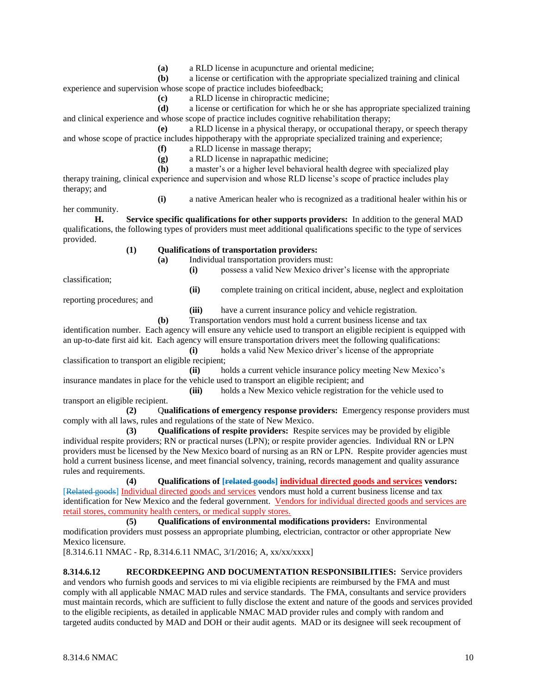**(a)** a RLD license in acupuncture and oriental medicine;

**(b)** a license or certification with the appropriate specialized training and clinical experience and supervision whose scope of practice includes biofeedback;

**(c)** a RLD license in chiropractic medicine;

**(d)** a license or certification for which he or she has appropriate specialized training and clinical experience and whose scope of practice includes cognitive rehabilitation therapy;

**(e)** a RLD license in a physical therapy, or occupational therapy, or speech therapy and whose scope of practice includes hippotherapy with the appropriate specialized training and experience;

- **(f)** a RLD license in massage therapy;
- **(g)** a RLD license in naprapathic medicine;

**(h)** a master's or a higher level behavioral health degree with specialized play therapy training, clinical experience and supervision and whose RLD license's scope of practice includes play therapy; and

**(i)** a native American healer who is recognized as a traditional healer within his or

her community.

**H. Service specific qualifications for other supports providers:** In addition to the general MAD qualifications, the following types of providers must meet additional qualifications specific to the type of services provided.

### **(1) Qualifications of transportation providers:**

**(a)** Individual transportation providers must: **(i)** possess a valid New Mexico driver's license with the appropriate

classification;

**(ii)** complete training on critical incident, abuse, neglect and exploitation

reporting procedures; and

**(iii)** have a current insurance policy and vehicle registration.

**(b)** Transportation vendors must hold a current business license and tax

identification number. Each agency will ensure any vehicle used to transport an eligible recipient is equipped with an up-to-date first aid kit. Each agency will ensure transportation drivers meet the following qualifications:

**(i)** holds a valid New Mexico driver's license of the appropriate classification to transport an eligible recipient;

**(ii)** holds a current vehicle insurance policy meeting New Mexico's insurance mandates in place for the vehicle used to transport an eligible recipient; and

**(iii)** holds a New Mexico vehicle registration for the vehicle used to transport an eligible recipient.

**(2)** Q**ualifications of emergency response providers:** Emergency response providers must comply with all laws, rules and regulations of the state of New Mexico.

**(3) Qualifications of respite providers:** Respite services may be provided by eligible individual respite providers; RN or practical nurses (LPN); or respite provider agencies. Individual RN or LPN providers must be licensed by the New Mexico board of nursing as an RN or LPN. Respite provider agencies must hold a current business license, and meet financial solvency, training, records management and quality assurance rules and requirements.

**(4) Qualifications of [related goods] individual directed goods and services vendors:** [Related goods] Individual directed goods and services vendors must hold a current business license and tax identification for New Mexico and the federal government. Vendors for individual directed goods and services are retail stores, community health centers, or medical supply stores.

**(5) Qualifications of environmental modifications providers:** Environmental modification providers must possess an appropriate plumbing, electrician, contractor or other appropriate New Mexico licensure.

[8.314.6.11 NMAC - Rp, 8.314.6.11 NMAC, 3/1/2016; A, xx/xx/xxxx]

**8.314.6.12 RECORDKEEPING AND DOCUMENTATION RESPONSIBILITIES:** Service providers and vendors who furnish goods and services to mi via eligible recipients are reimbursed by the FMA and must comply with all applicable NMAC MAD rules and service standards. The FMA, consultants and service providers must maintain records, which are sufficient to fully disclose the extent and nature of the goods and services provided to the eligible recipients, as detailed in applicable NMAC MAD provider rules and comply with random and targeted audits conducted by MAD and DOH or their audit agents. MAD or its designee will seek recoupment of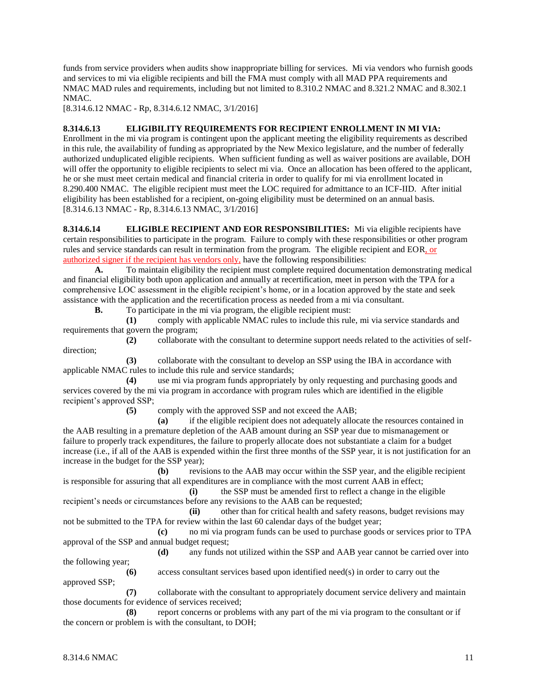funds from service providers when audits show inappropriate billing for services. Mi via vendors who furnish goods and services to mi via eligible recipients and bill the FMA must comply with all MAD PPA requirements and NMAC MAD rules and requirements, including but not limited to 8.310.2 NMAC and 8.321.2 NMAC and 8.302.1 NMAC.

[8.314.6.12 NMAC - Rp, 8.314.6.12 NMAC, 3/1/2016]

## **8.314.6.13 ELIGIBILITY REQUIREMENTS FOR RECIPIENT ENROLLMENT IN MI VIA:**

Enrollment in the mi via program is contingent upon the applicant meeting the eligibility requirements as described in this rule, the availability of funding as appropriated by the New Mexico legislature, and the number of federally authorized unduplicated eligible recipients. When sufficient funding as well as waiver positions are available, DOH will offer the opportunity to eligible recipients to select mi via. Once an allocation has been offered to the applicant, he or she must meet certain medical and financial criteria in order to qualify for mi via enrollment located in 8.290.400 NMAC. The eligible recipient must meet the LOC required for admittance to an ICF-IID. After initial eligibility has been established for a recipient, on-going eligibility must be determined on an annual basis. [8.314.6.13 NMAC - Rp, 8.314.6.13 NMAC, 3/1/2016]

**8.314.6.14 ELIGIBLE RECIPIENT AND EOR RESPONSIBILITIES:** Mi via eligible recipients have certain responsibilities to participate in the program. Failure to comply with these responsibilities or other program rules and service standards can result in termination from the program. The eligible recipient and EOR, or authorized signer if the recipient has vendors only, have the following responsibilities:

**A.** To maintain eligibility the recipient must complete required documentation demonstrating medical and financial eligibility both upon application and annually at recertification, meet in person with the TPA for a comprehensive LOC assessment in the eligible recipient's home, or in a location approved by the state and seek assistance with the application and the recertification process as needed from a mi via consultant.

**B.** To participate in the mi via program, the eligible recipient must:

**(1)** comply with applicable NMAC rules to include this rule, mi via service standards and requirements that govern the program;

**(2)** collaborate with the consultant to determine support needs related to the activities of selfdirection;

**(3)** collaborate with the consultant to develop an SSP using the IBA in accordance with applicable NMAC rules to include this rule and service standards;

**(4)** use mi via program funds appropriately by only requesting and purchasing goods and services covered by the mi via program in accordance with program rules which are identified in the eligible recipient's approved SSP;

**(5)** comply with the approved SSP and not exceed the AAB;

**(a)** if the eligible recipient does not adequately allocate the resources contained in the AAB resulting in a premature depletion of the AAB amount during an SSP year due to mismanagement or failure to properly track expenditures, the failure to properly allocate does not substantiate a claim for a budget increase (i.e., if all of the AAB is expended within the first three months of the SSP year, it is not justification for an increase in the budget for the SSP year);

**(b)** revisions to the AAB may occur within the SSP year, and the eligible recipient is responsible for assuring that all expenditures are in compliance with the most current AAB in effect;

**(i)** the SSP must be amended first to reflect a change in the eligible recipient's needs or circumstances before any revisions to the AAB can be requested;

**(ii)** other than for critical health and safety reasons, budget revisions may not be submitted to the TPA for review within the last 60 calendar days of the budget year;

**(c)** no mi via program funds can be used to purchase goods or services prior to TPA approval of the SSP and annual budget request;

**(d)** any funds not utilized within the SSP and AAB year cannot be carried over into the following year;

**(6)** access consultant services based upon identified need(s) in order to carry out the approved SSP;

**(7)** collaborate with the consultant to appropriately document service delivery and maintain those documents for evidence of services received;

**(8)** report concerns or problems with any part of the mi via program to the consultant or if the concern or problem is with the consultant, to DOH;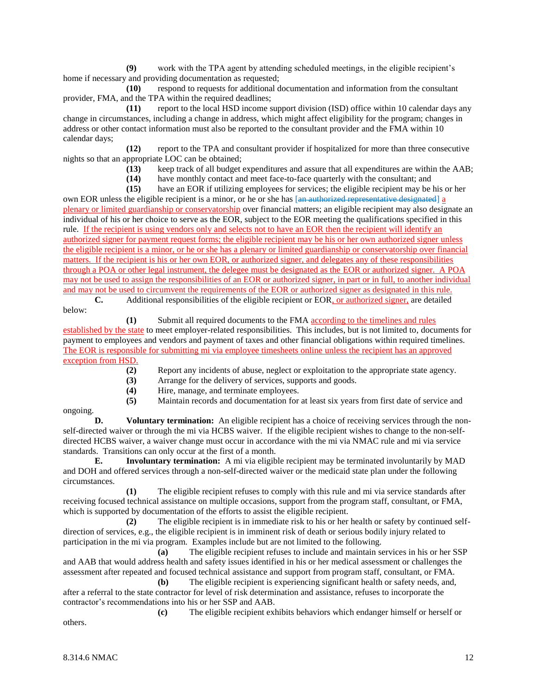**(9)** work with the TPA agent by attending scheduled meetings, in the eligible recipient's home if necessary and providing documentation as requested;

**(10)** respond to requests for additional documentation and information from the consultant provider, FMA, and the TPA within the required deadlines;

**(11)** report to the local HSD income support division (ISD) office within 10 calendar days any change in circumstances, including a change in address, which might affect eligibility for the program; changes in address or other contact information must also be reported to the consultant provider and the FMA within 10 calendar days;

**(12)** report to the TPA and consultant provider if hospitalized for more than three consecutive nights so that an appropriate LOC can be obtained;

- **(13)** keep track of all budget expenditures and assure that all expenditures are within the AAB;
- **(14)** have monthly contact and meet face-to-face quarterly with the consultant; and

**(15)** have an EOR if utilizing employees for services; the eligible recipient may be his or her own EOR unless the eligible recipient is a minor, or he or she has [an authorized representative designated] a plenary or limited guardianship or conservatorship over financial matters; an eligible recipient may also designate an individual of his or her choice to serve as the EOR, subject to the EOR meeting the qualifications specified in this rule. If the recipient is using vendors only and selects not to have an EOR then the recipient will identify an authorized signer for payment request forms; the eligible recipient may be his or her own authorized signer unless the eligible recipient is a minor, or he or she has a plenary or limited guardianship or conservatorship over financial matters. If the recipient is his or her own EOR, or authorized signer, and delegates any of these responsibilities through a POA or other legal instrument, the delegee must be designated as the EOR or authorized signer. A POA may not be used to assign the responsibilities of an EOR or authorized signer, in part or in full, to another individual and may not be used to circumvent the requirements of the EOR or authorized signer as designated in this rule.

**C.** Additional responsibilities of the eligible recipient or EOR, or authorized signer, are detailed below:

**(1)** Submit all required documents to the FMA according to the timelines and rules established by the state to meet employer-related responsibilities. This includes, but is not limited to, documents for payment to employees and vendors and payment of taxes and other financial obligations within required timelines. The EOR is responsible for submitting mi via employee timesheets online unless the recipient has an approved exception from HSD.

- **(2)** Report any incidents of abuse, neglect or exploitation to the appropriate state agency.
- **(3)** Arrange for the delivery of services, supports and goods.
- **(4)** Hire, manage, and terminate employees.
- **(5)** Maintain records and documentation for at least six years from first date of service and

ongoing.

**D. Voluntary termination:** An eligible recipient has a choice of receiving services through the nonself-directed waiver or through the mi via HCBS waiver. If the eligible recipient wishes to change to the non-selfdirected HCBS waiver, a waiver change must occur in accordance with the mi via NMAC rule and mi via service standards. Transitions can only occur at the first of a month.

**E. Involuntary termination:** A mi via eligible recipient may be terminated involuntarily by MAD and DOH and offered services through a non-self-directed waiver or the medicaid state plan under the following circumstances.

**(1)** The eligible recipient refuses to comply with this rule and mi via service standards after receiving focused technical assistance on multiple occasions, support from the program staff, consultant, or FMA, which is supported by documentation of the efforts to assist the eligible recipient.

**(2)** The eligible recipient is in immediate risk to his or her health or safety by continued selfdirection of services, e.g., the eligible recipient is in imminent risk of death or serious bodily injury related to participation in the mi via program. Examples include but are not limited to the following.

**(a)** The eligible recipient refuses to include and maintain services in his or her SSP and AAB that would address health and safety issues identified in his or her medical assessment or challenges the assessment after repeated and focused technical assistance and support from program staff, consultant, or FMA.

**(b)** The eligible recipient is experiencing significant health or safety needs, and, after a referral to the state contractor for level of risk determination and assistance, refuses to incorporate the contractor's recommendations into his or her SSP and AAB.

**(c)** The eligible recipient exhibits behaviors which endanger himself or herself or others.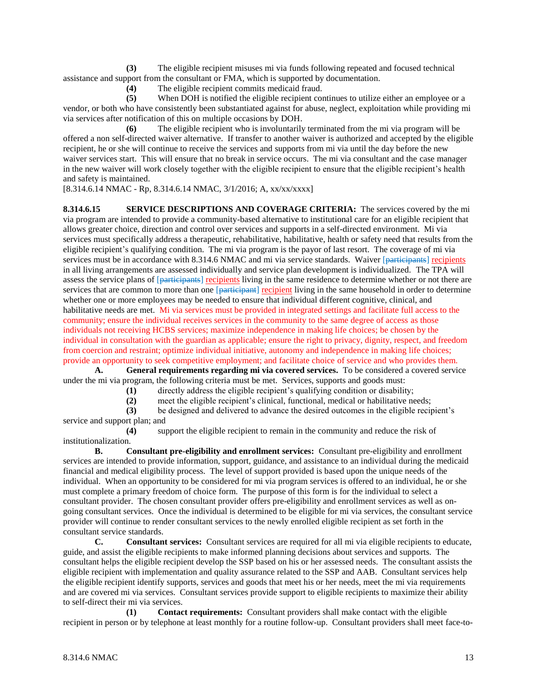**(3)** The eligible recipient misuses mi via funds following repeated and focused technical assistance and support from the consultant or FMA, which is supported by documentation.

**(4)** The eligible recipient commits medicaid fraud.

**(5)** When DOH is notified the eligible recipient continues to utilize either an employee or a vendor, or both who have consistently been substantiated against for abuse, neglect, exploitation while providing mi via services after notification of this on multiple occasions by DOH.

**(6)** The eligible recipient who is involuntarily terminated from the mi via program will be offered a non self-directed waiver alternative. If transfer to another waiver is authorized and accepted by the eligible recipient, he or she will continue to receive the services and supports from mi via until the day before the new waiver services start. This will ensure that no break in service occurs. The mi via consultant and the case manager in the new waiver will work closely together with the eligible recipient to ensure that the eligible recipient's health and safety is maintained.

[8.314.6.14 NMAC - Rp, 8.314.6.14 NMAC, 3/1/2016; A, xx/xx/xxxx]

**8.314.6.15 SERVICE DESCRIPTIONS AND COVERAGE CRITERIA:** The services covered by the mi via program are intended to provide a community-based alternative to institutional care for an eligible recipient that allows greater choice, direction and control over services and supports in a self-directed environment. Mi via services must specifically address a therapeutic, rehabilitative, habilitative, health or safety need that results from the eligible recipient's qualifying condition. The mi via program is the payor of last resort. The coverage of mi via services must be in accordance with 8.314.6 NMAC and mi via service standards. Waiver [participants] recipients in all living arrangements are assessed individually and service plan development is individualized. The TPA will assess the service plans of [participants] recipients living in the same residence to determine whether or not there are services that are common to more than one [participant] recipient living in the same household in order to determine whether one or more employees may be needed to ensure that individual different cognitive, clinical, and habilitative needs are met. Mi via services must be provided in integrated settings and facilitate full access to the community; ensure the individual receives services in the community to the same degree of access as those individuals not receiving HCBS services; maximize independence in making life choices; be chosen by the individual in consultation with the guardian as applicable; ensure the right to privacy, dignity, respect, and freedom from coercion and restraint; optimize individual initiative, autonomy and independence in making life choices; provide an opportunity to seek competitive employment; and facilitate choice of service and who provides them.

**A. General requirements regarding mi via covered services.** To be considered a covered service under the mi via program, the following criteria must be met. Services, supports and goods must:

**(1)** directly address the eligible recipient's qualifying condition or disability;

**(2)** meet the eligible recipient's clinical, functional, medical or habilitative needs;

**(3)** be designed and delivered to advance the desired outcomes in the eligible recipient's service and support plan; and

**(4)** support the eligible recipient to remain in the community and reduce the risk of institutionalization.

**B. Consultant pre-eligibility and enrollment services:** Consultant pre-eligibility and enrollment services are intended to provide information, support, guidance, and assistance to an individual during the medicaid financial and medical eligibility process. The level of support provided is based upon the unique needs of the individual. When an opportunity to be considered for mi via program services is offered to an individual, he or she must complete a primary freedom of choice form. The purpose of this form is for the individual to select a consultant provider. The chosen consultant provider offers pre-eligibility and enrollment services as well as ongoing consultant services. Once the individual is determined to be eligible for mi via services, the consultant service provider will continue to render consultant services to the newly enrolled eligible recipient as set forth in the consultant service standards.

**C. Consultant services:** Consultant services are required for all mi via eligible recipients to educate, guide, and assist the eligible recipients to make informed planning decisions about services and supports. The consultant helps the eligible recipient develop the SSP based on his or her assessed needs. The consultant assists the eligible recipient with implementation and quality assurance related to the SSP and AAB. Consultant services help the eligible recipient identify supports, services and goods that meet his or her needs, meet the mi via requirements and are covered mi via services. Consultant services provide support to eligible recipients to maximize their ability to self-direct their mi via services.

**(1) Contact requirements:** Consultant providers shall make contact with the eligible recipient in person or by telephone at least monthly for a routine follow-up. Consultant providers shall meet face-to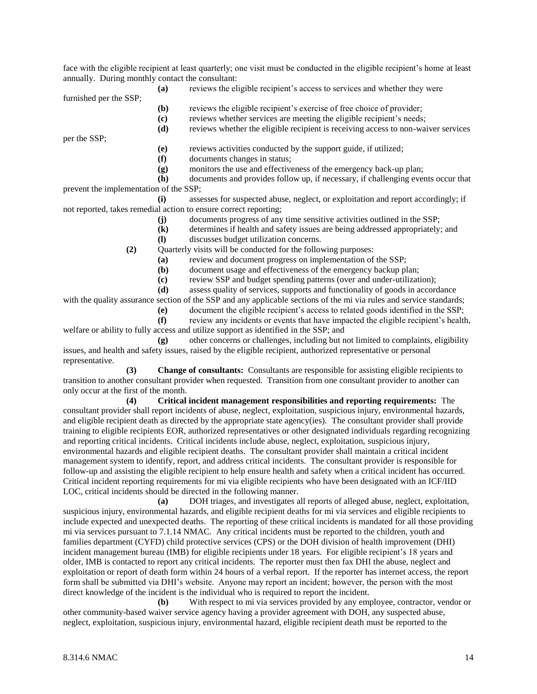face with the eligible recipient at least quarterly; one visit must be conducted in the eligible recipient's home at least annually. During monthly contact the consultant:

**(a)** reviews the eligible recipient's access to services and whether they were

furnished per the SSP;

- **(b)** reviews the eligible recipient's exercise of free choice of provider;
- **(c)** reviews whether services are meeting the eligible recipient's needs;
- **(d)** reviews whether the eligible recipient is receiving access to non-waiver services

per the SSP;

**(e)** reviews activities conducted by the support guide, if utilized;

- **(f)** documents changes in status;
- **(g)** monitors the use and effectiveness of the emergency back-up plan;

**(h)** documents and provides follow up, if necessary, if challenging events occur that prevent the implementation of the SSP;

**(i)** assesses for suspected abuse, neglect, or exploitation and report accordingly; if not reported, takes remedial action to ensure correct reporting;

- **(j)** documents progress of any time sensitive activities outlined in the SSP;
- **(k)** determines if health and safety issues are being addressed appropriately; and
- **(l)** discusses budget utilization concerns.

**(2)** Quarterly visits will be conducted for the following purposes:

- **(a)** review and document progress on implementation of the SSP;
- **(b)** document usage and effectiveness of the emergency backup plan;

**(c)** review SSP and budget spending patterns (over and under-utilization);

**(d)** assess quality of services, supports and functionality of goods in accordance

with the quality assurance section of the SSP and any applicable sections of the mi via rules and service standards;

**(e)** document the eligible recipient's access to related goods identified in the SSP;

**(f)** review any incidents or events that have impacted the eligible recipient's health, welfare or ability to fully access and utilize support as identified in the SSP; and

**(g)** other concerns or challenges, including but not limited to complaints, eligibility issues, and health and safety issues, raised by the eligible recipient, authorized representative or personal representative.

**(3) Change of consultants:** Consultants are responsible for assisting eligible recipients to transition to another consultant provider when requested. Transition from one consultant provider to another can only occur at the first of the month.

**(4) Critical incident management responsibilities and reporting requirements:** The consultant provider shall report incidents of abuse, neglect, exploitation, suspicious injury, environmental hazards, and eligible recipient death as directed by the appropriate state agency(ies). The consultant provider shall provide training to eligible recipients EOR, authorized representatives or other designated individuals regarding recognizing and reporting critical incidents. Critical incidents include abuse, neglect, exploitation, suspicious injury, environmental hazards and eligible recipient deaths. The consultant provider shall maintain a critical incident management system to identify, report, and address critical incidents. The consultant provider is responsible for follow-up and assisting the eligible recipient to help ensure health and safety when a critical incident has occurred. Critical incident reporting requirements for mi via eligible recipients who have been designated with an ICF/IID LOC, critical incidents should be directed in the following manner.

**(a)** DOH triages, and investigates all reports of alleged abuse, neglect, exploitation, suspicious injury, environmental hazards, and eligible recipient deaths for mi via services and eligible recipients to include expected and unexpected deaths. The reporting of these critical incidents is mandated for all those providing mi via services pursuant to 7.1.14 NMAC. Any critical incidents must be reported to the children, youth and families department (CYFD) child protective services (CPS) or the DOH division of health improvement (DHI) incident management bureau (IMB) for eligible recipients under 18 years. For eligible recipient's 18 years and older, IMB is contacted to report any critical incidents. The reporter must then fax DHI the abuse, neglect and exploitation or report of death form within 24 hours of a verbal report. If the reporter has internet access, the report form shall be submitted via DHI's website. Anyone may report an incident; however, the person with the most direct knowledge of the incident is the individual who is required to report the incident.

**(b)** With respect to mi via services provided by any employee, contractor, vendor or other community-based waiver service agency having a provider agreement with DOH, any suspected abuse, neglect, exploitation, suspicious injury, environmental hazard, eligible recipient death must be reported to the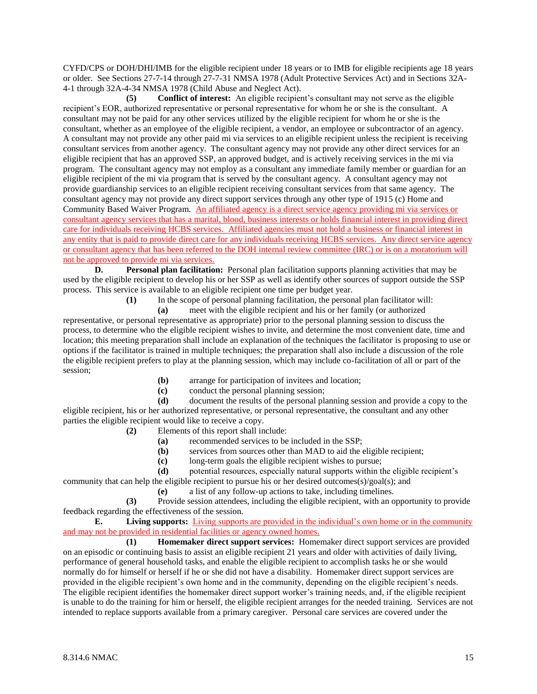CYFD/CPS or DOH/DHI/IMB for the eligible recipient under 18 years or to IMB for eligible recipients age 18 years or older. See Sections 27-7-14 through 27-7-31 NMSA 1978 (Adult Protective Services Act) and in Sections 32A-4-1 through 32A-4-34 NMSA 1978 (Child Abuse and Neglect Act).

**(5) Conflict of interest:** An eligible recipient's consultant may not serve as the eligible recipient's EOR, authorized representative or personal representative for whom he or she is the consultant. A consultant may not be paid for any other services utilized by the eligible recipient for whom he or she is the consultant, whether as an employee of the eligible recipient, a vendor, an employee or subcontractor of an agency. A consultant may not provide any other paid mi via services to an eligible recipient unless the recipient is receiving consultant services from another agency. The consultant agency may not provide any other direct services for an eligible recipient that has an approved SSP, an approved budget, and is actively receiving services in the mi via program. The consultant agency may not employ as a consultant any immediate family member or guardian for an eligible recipient of the mi via program that is served by the consultant agency. A consultant agency may not provide guardianship services to an eligible recipient receiving consultant services from that same agency. The consultant agency may not provide any direct support services through any other type of 1915 (c) Home and Community Based Waiver Program. An affiliated agency is a direct service agency providing mi via services or consultant agency services that has a marital, blood, business interests or holds financial interest in providing direct care for individuals receiving HCBS services. Affiliated agencies must not hold a business or financial interest in any entity that is paid to provide direct care for any individuals receiving HCBS services. Any direct service agency or consultant agency that has been referred to the DOH internal review committee (IRC) or is on a moratorium will not be approved to provide mi via services.

**D. Personal plan facilitation:** Personal plan facilitation supports planning activities that may be used by the eligible recipient to develop his or her SSP as well as identify other sources of support outside the SSP process. This service is available to an eligible recipient one time per budget year.

**(1)** In the scope of personal planning facilitation, the personal plan facilitator will:

**(a)** meet with the eligible recipient and his or her family (or authorized representative, or personal representative as appropriate) prior to the personal planning session to discuss the process, to determine who the eligible recipient wishes to invite, and determine the most convenient date, time and location; this meeting preparation shall include an explanation of the techniques the facilitator is proposing to use or options if the facilitator is trained in multiple techniques; the preparation shall also include a discussion of the role the eligible recipient prefers to play at the planning session, which may include co-facilitation of all or part of the session;

- **(b)** arrange for participation of invitees and location;
- **(c)** conduct the personal planning session;

**(d)** document the results of the personal planning session and provide a copy to the eligible recipient, his or her authorized representative, or personal representative, the consultant and any other parties the eligible recipient would like to receive a copy.

- **(2)** Elements of this report shall include:
	- **(a)** recommended services to be included in the SSP;
	- **(b)** services from sources other than MAD to aid the eligible recipient;
	- **(c)** long-term goals the eligible recipient wishes to pursue;

**(d)** potential resources, especially natural supports within the eligible recipient's community that can help the eligible recipient to pursue his or her desired outcomes(s)/goal(s); and

**(e)** a list of any follow-up actions to take, including timelines.

**(3)** Provide session attendees, including the eligible recipient, with an opportunity to provide feedback regarding the effectiveness of the session.<br> **E.** Living supports: Living supports

**E. Living supports:** Living supports are provided in the individual's own home or in the community and may not be provided in residential facilities or agency owned homes.

**(1) Homemaker direct support services:** Homemaker direct support services are provided on an episodic or continuing basis to assist an eligible recipient 21 years and older with activities of daily living, performance of general household tasks, and enable the eligible recipient to accomplish tasks he or she would normally do for himself or herself if he or she did not have a disability. Homemaker direct support services are provided in the eligible recipient's own home and in the community, depending on the eligible recipient's needs. The eligible recipient identifies the homemaker direct support worker's training needs, and, if the eligible recipient is unable to do the training for him or herself, the eligible recipient arranges for the needed training. Services are not intended to replace supports available from a primary caregiver. Personal care services are covered under the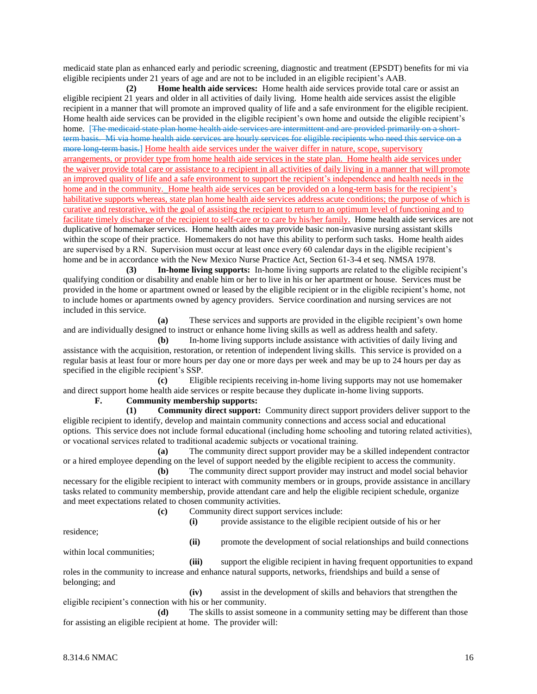medicaid state plan as enhanced early and periodic screening, diagnostic and treatment (EPSDT) benefits for mi via eligible recipients under 21 years of age and are not to be included in an eligible recipient's AAB.

**(2) Home health aide services:** Home health aide services provide total care or assist an eligible recipient 21 years and older in all activities of daily living. Home health aide services assist the eligible recipient in a manner that will promote an improved quality of life and a safe environment for the eligible recipient. Home health aide services can be provided in the eligible recipient's own home and outside the eligible recipient's home. [The medicaid state plan home health aide services are intermittent and are provided primarily on a shortterm basis. Mi via home health aide services are hourly services for eligible recipients who need this service on a more long-term basis.] Home health aide services under the waiver differ in nature, scope, supervisory arrangements, or provider type from home health aide services in the state plan. Home health aide services under the waiver provide total care or assistance to a recipient in all activities of daily living in a manner that will promote an improved quality of life and a safe environment to support the recipient's independence and health needs in the home and in the community. Home health aide services can be provided on a long-term basis for the recipient's habilitative supports whereas, state plan home health aide services address acute conditions; the purpose of which is curative and restorative, with the goal of assisting the recipient to return to an optimum level of functioning and to facilitate timely discharge of the recipient to self-care or to care by his/her family. Home health aide services are not duplicative of homemaker services. Home health aides may provide basic non-invasive nursing assistant skills within the scope of their practice. Homemakers do not have this ability to perform such tasks. Home health aides are supervised by a RN. Supervision must occur at least once every 60 calendar days in the eligible recipient's home and be in accordance with the New Mexico Nurse Practice Act, Section 61-3-4 et seq. NMSA 1978.

**(3) In-home living supports:** In-home living supports are related to the eligible recipient's qualifying condition or disability and enable him or her to live in his or her apartment or house. Services must be provided in the home or apartment owned or leased by the eligible recipient or in the eligible recipient's home, not to include homes or apartments owned by agency providers. Service coordination and nursing services are not included in this service.

**(a)** These services and supports are provided in the eligible recipient's own home and are individually designed to instruct or enhance home living skills as well as address health and safety.

**(b)** In-home living supports include assistance with activities of daily living and assistance with the acquisition, restoration, or retention of independent living skills. This service is provided on a regular basis at least four or more hours per day one or more days per week and may be up to 24 hours per day as specified in the eligible recipient's SSP.

**(c)** Eligible recipients receiving in-home living supports may not use homemaker and direct support home health aide services or respite because they duplicate in-home living supports.

## **F. Community membership supports:**

**(1) Community direct support:** Community direct support providers deliver support to the eligible recipient to identify, develop and maintain community connections and access social and educational options. This service does not include formal educational (including home schooling and tutoring related activities), or vocational services related to traditional academic subjects or vocational training.

**(a)** The community direct support provider may be a skilled independent contractor or a hired employee depending on the level of support needed by the eligible recipient to access the community.

**(b)** The community direct support provider may instruct and model social behavior necessary for the eligible recipient to interact with community members or in groups, provide assistance in ancillary tasks related to community membership, provide attendant care and help the eligible recipient schedule, organize and meet expectations related to chosen community activities.

- **(c)** Community direct support services include:
	- **(i)** provide assistance to the eligible recipient outside of his or her

residence;

**(ii)** promote the development of social relationships and build connections within local communities;

**(iii)** support the eligible recipient in having frequent opportunities to expand roles in the community to increase and enhance natural supports, networks, friendships and build a sense of belonging; and

**(iv)** assist in the development of skills and behaviors that strengthen the eligible recipient's connection with his or her community.

**(d)** The skills to assist someone in a community setting may be different than those for assisting an eligible recipient at home. The provider will: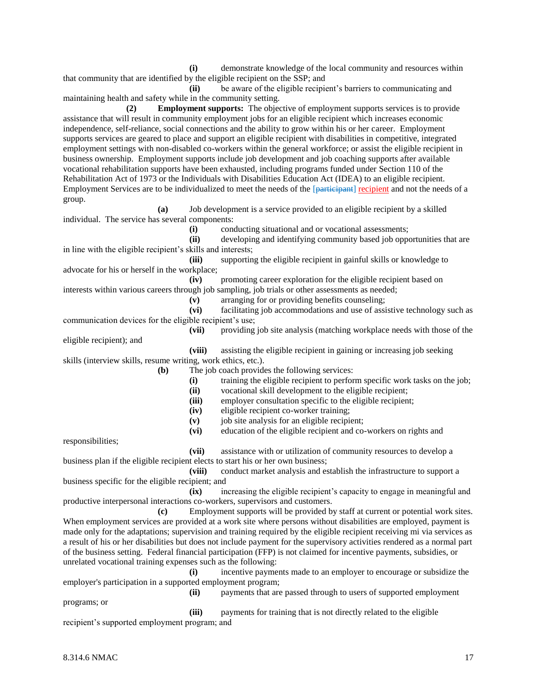**(i)** demonstrate knowledge of the local community and resources within that community that are identified by the eligible recipient on the SSP; and

**(ii)** be aware of the eligible recipient's barriers to communicating and maintaining health and safety while in the community setting.

**(2) Employment supports:** The objective of employment supports services is to provide assistance that will result in community employment jobs for an eligible recipient which increases economic independence, self-reliance, social connections and the ability to grow within his or her career. Employment supports services are geared to place and support an eligible recipient with disabilities in competitive, integrated employment settings with non-disabled co-workers within the general workforce; or assist the eligible recipient in business ownership. Employment supports include job development and job coaching supports after available vocational rehabilitation supports have been exhausted, including programs funded under Section 110 of the Rehabilitation Act of 1973 or the Individuals with Disabilities Education Act (IDEA) to an eligible recipient. Employment Services are to be individualized to meet the needs of the [participant] recipient and not the needs of a group.

**(a)** Job development is a service provided to an eligible recipient by a skilled individual. The service has several components:

**(i)** conducting situational and or vocational assessments;

**(ii)** developing and identifying community based job opportunities that are in line with the eligible recipient's skills and interests;

**(iii)** supporting the eligible recipient in gainful skills or knowledge to advocate for his or herself in the workplace;

**(iv)** promoting career exploration for the eligible recipient based on interests within various careers through job sampling, job trials or other assessments as needed;

**(v)** arranging for or providing benefits counseling;

**(vi)** facilitating job accommodations and use of assistive technology such as communication devices for the eligible recipient's use;

**(vii)** providing job site analysis (matching workplace needs with those of the eligible recipient); and

**(viii)** assisting the eligible recipient in gaining or increasing job seeking skills (interview skills, resume writing, work ethics, etc.).

**(b)** The job coach provides the following services:

**(i)** training the eligible recipient to perform specific work tasks on the job;

**(ii)** vocational skill development to the eligible recipient;

**(iii)** employer consultation specific to the eligible recipient;

**(iv)** eligible recipient co-worker training;

**(v)** job site analysis for an eligible recipient;

**(vi)** education of the eligible recipient and co-workers on rights and

responsibilities;

**(vii)** assistance with or utilization of community resources to develop a business plan if the eligible recipient elects to start his or her own business;

**(viii)** conduct market analysis and establish the infrastructure to support a business specific for the eligible recipient; and

**(ix)** increasing the eligible recipient's capacity to engage in meaningful and productive interpersonal interactions co-workers, supervisors and customers.

**(c)** Employment supports will be provided by staff at current or potential work sites. When employment services are provided at a work site where persons without disabilities are employed, payment is made only for the adaptations; supervision and training required by the eligible recipient receiving mi via services as a result of his or her disabilities but does not include payment for the supervisory activities rendered as a normal part of the business setting. Federal financial participation (FFP) is not claimed for incentive payments, subsidies, or unrelated vocational training expenses such as the following:

**(i)** incentive payments made to an employer to encourage or subsidize the employer's participation in a supported employment program;

**(ii)** payments that are passed through to users of supported employment programs; or

**(iii)** payments for training that is not directly related to the eligible recipient's supported employment program; and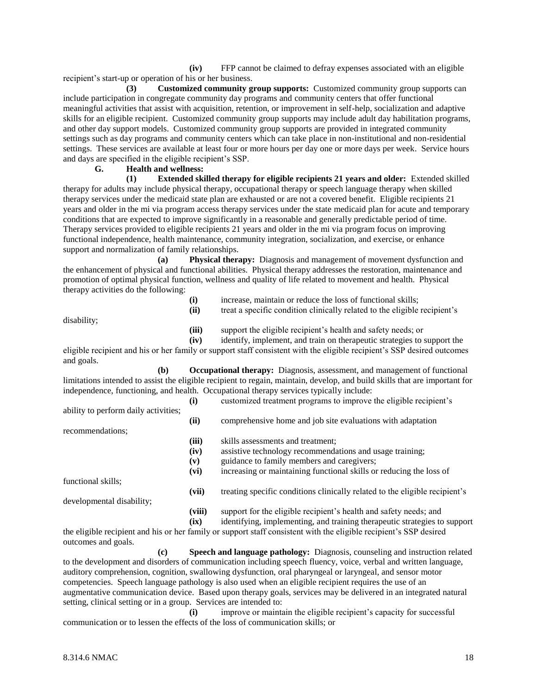**(iv)** FFP cannot be claimed to defray expenses associated with an eligible recipient's start-up or operation of his or her business.

**(3) Customized community group supports:** Customized community group supports can include participation in congregate community day programs and community centers that offer functional meaningful activities that assist with acquisition, retention, or improvement in self-help, socialization and adaptive skills for an eligible recipient. Customized community group supports may include adult day habilitation programs, and other day support models. Customized community group supports are provided in integrated community settings such as day programs and community centers which can take place in non-institutional and non-residential settings. These services are available at least four or more hours per day one or more days per week. Service hours and days are specified in the eligible recipient's SSP.

#### **G. Health and wellness:**

**(1) Extended skilled therapy for eligible recipients 21 years and older:** Extended skilled therapy for adults may include physical therapy, occupational therapy or speech language therapy when skilled therapy services under the medicaid state plan are exhausted or are not a covered benefit. Eligible recipients 21 years and older in the mi via program access therapy services under the state medicaid plan for acute and temporary conditions that are expected to improve significantly in a reasonable and generally predictable period of time. Therapy services provided to eligible recipients 21 years and older in the mi via program focus on improving functional independence, health maintenance, community integration, socialization, and exercise, or enhance support and normalization of family relationships.

**(a) Physical therapy:** Diagnosis and management of movement dysfunction and the enhancement of physical and functional abilities. Physical therapy addresses the restoration, maintenance and promotion of optimal physical function, wellness and quality of life related to movement and health. Physical therapy activities do the following:

|             | (i)<br>(ii) | increase, maintain or reduce the loss of functional skills;<br>treat a specific condition clinically related to the eligible recipient's |
|-------------|-------------|------------------------------------------------------------------------------------------------------------------------------------------|
| disability; | (iii)       | support the eligible recipient's health and safety needs; or                                                                             |
|             | (iv)        | identify, implement, and train on therapeutic strategies to support the                                                                  |
|             |             | oligilla reginient and his or har family ar support staff consistent with the eligible reginient's CCD desired outcome                   |

eligible recipient and his or her family or support staff consistent with the eligible recipient's SSP desired outcomes and goals.

**(b) Occupational therapy:** Diagnosis, assessment, and management of functional limitations intended to assist the eligible recipient to regain, maintain, develop, and build skills that are important for independence, functioning, and health. Occupational therapy services typically include:

|                                      | (i)    | customized treatment programs to improve the eligible recipient's           |
|--------------------------------------|--------|-----------------------------------------------------------------------------|
| ability to perform daily activities; |        |                                                                             |
|                                      | (ii)   | comprehensive home and job site evaluations with adaptation                 |
| recommendations;                     |        |                                                                             |
|                                      | (iii)  | skills assessments and treatment;                                           |
|                                      | (iv)   | assistive technology recommendations and usage training;                    |
|                                      | (v)    | guidance to family members and caregivers;                                  |
|                                      | (vi)   | increasing or maintaining functional skills or reducing the loss of         |
| functional skills;                   |        |                                                                             |
|                                      | (vii)  | treating specific conditions clinically related to the eligible recipient's |
| developmental disability;            |        |                                                                             |
|                                      | (viii) | support for the eligible recipient's health and safety needs; and           |
|                                      | (ix)   | identifying, implementing, and training therapeutic strategies to support   |

the eligible recipient and his or her family or support staff consistent with the eligible recipient's SSP desired outcomes and goals.

**(c) Speech and language pathology:** Diagnosis, counseling and instruction related to the development and disorders of communication including speech fluency, voice, verbal and written language, auditory comprehension, cognition, swallowing dysfunction, oral pharyngeal or laryngeal, and sensor motor competencies. Speech language pathology is also used when an eligible recipient requires the use of an augmentative communication device. Based upon therapy goals, services may be delivered in an integrated natural setting, clinical setting or in a group. Services are intended to:

**(i)** improve or maintain the eligible recipient's capacity for successful communication or to lessen the effects of the loss of communication skills; or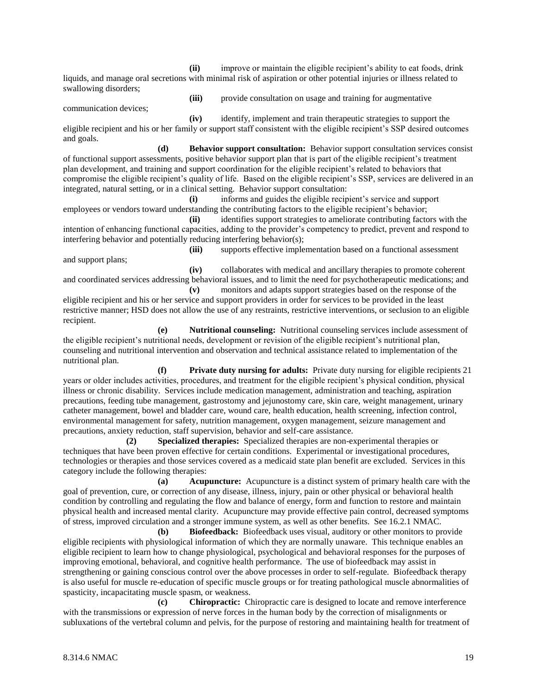**(ii)** improve or maintain the eligible recipient's ability to eat foods, drink liquids, and manage oral secretions with minimal risk of aspiration or other potential injuries or illness related to swallowing disorders;

communication devices;

**(iii)** provide consultation on usage and training for augmentative

**(iv)** identify, implement and train therapeutic strategies to support the eligible recipient and his or her family or support staff consistent with the eligible recipient's SSP desired outcomes and goals.

**(d) Behavior support consultation:** Behavior support consultation services consist of functional support assessments, positive behavior support plan that is part of the eligible recipient's treatment plan development, and training and support coordination for the eligible recipient's related to behaviors that compromise the eligible recipient's quality of life. Based on the eligible recipient's SSP, services are delivered in an integrated, natural setting, or in a clinical setting. Behavior support consultation:

**(i)** informs and guides the eligible recipient's service and support employees or vendors toward understanding the contributing factors to the eligible recipient's behavior;

**(ii)** identifies support strategies to ameliorate contributing factors with the intention of enhancing functional capacities, adding to the provider's competency to predict, prevent and respond to interfering behavior and potentially reducing interfering behavior(s);

**(iii)** supports effective implementation based on a functional assessment and support plans;

**(iv)** collaborates with medical and ancillary therapies to promote coherent and coordinated services addressing behavioral issues, and to limit the need for psychotherapeutic medications; and **(v)** monitors and adapts support strategies based on the response of the

eligible recipient and his or her service and support providers in order for services to be provided in the least restrictive manner; HSD does not allow the use of any restraints, restrictive interventions, or seclusion to an eligible recipient.

**(e) Nutritional counseling:** Nutritional counseling services include assessment of the eligible recipient's nutritional needs, development or revision of the eligible recipient's nutritional plan, counseling and nutritional intervention and observation and technical assistance related to implementation of the nutritional plan.

**(f) Private duty nursing for adults:** Private duty nursing for eligible recipients 21 years or older includes activities, procedures, and treatment for the eligible recipient's physical condition, physical illness or chronic disability. Services include medication management, administration and teaching, aspiration precautions, feeding tube management, gastrostomy and jejunostomy care, skin care, weight management, urinary catheter management, bowel and bladder care, wound care, health education, health screening, infection control, environmental management for safety, nutrition management, oxygen management, seizure management and precautions, anxiety reduction, staff supervision, behavior and self-care assistance.

**(2) Specialized therapies:** Specialized therapies are non-experimental therapies or techniques that have been proven effective for certain conditions. Experimental or investigational procedures, technologies or therapies and those services covered as a medicaid state plan benefit are excluded. Services in this category include the following therapies:

**(a) Acupuncture:** Acupuncture is a distinct system of primary health care with the goal of prevention, cure, or correction of any disease, illness, injury, pain or other physical or behavioral health condition by controlling and regulating the flow and balance of energy, form and function to restore and maintain physical health and increased mental clarity. Acupuncture may provide effective pain control, decreased symptoms of stress, improved circulation and a stronger immune system, as well as other benefits. See 16.2.1 NMAC.

**(b) Biofeedback:** Biofeedback uses visual, auditory or other monitors to provide eligible recipients with physiological information of which they are normally unaware. This technique enables an eligible recipient to learn how to change physiological, psychological and behavioral responses for the purposes of improving emotional, behavioral, and cognitive health performance. The use of biofeedback may assist in strengthening or gaining conscious control over the above processes in order to self-regulate. Biofeedback therapy is also useful for muscle re-education of specific muscle groups or for treating pathological muscle abnormalities of spasticity, incapacitating muscle spasm, or weakness.

**(c) Chiropractic:** Chiropractic care is designed to locate and remove interference with the transmissions or expression of nerve forces in the human body by the correction of misalignments or subluxations of the vertebral column and pelvis, for the purpose of restoring and maintaining health for treatment of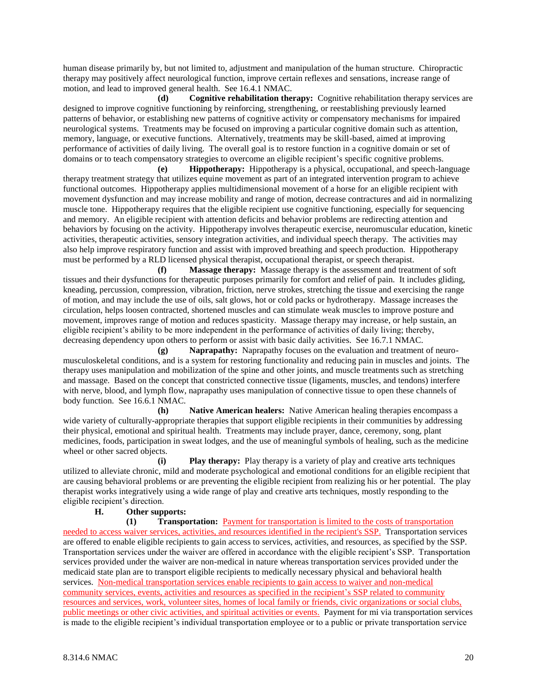human disease primarily by, but not limited to, adjustment and manipulation of the human structure. Chiropractic therapy may positively affect neurological function, improve certain reflexes and sensations, increase range of motion, and lead to improved general health. See 16.4.1 NMAC.

**(d) Cognitive rehabilitation therapy:** Cognitive rehabilitation therapy services are designed to improve cognitive functioning by reinforcing, strengthening, or reestablishing previously learned patterns of behavior, or establishing new patterns of cognitive activity or compensatory mechanisms for impaired neurological systems. Treatments may be focused on improving a particular cognitive domain such as attention, memory, language, or executive functions. Alternatively, treatments may be skill-based, aimed at improving performance of activities of daily living. The overall goal is to restore function in a cognitive domain or set of domains or to teach compensatory strategies to overcome an eligible recipient's specific cognitive problems.

**(e) Hippotherapy:** Hippotherapy is a physical, occupational, and speech-language therapy treatment strategy that utilizes equine movement as part of an integrated intervention program to achieve functional outcomes. Hippotherapy applies multidimensional movement of a horse for an eligible recipient with movement dysfunction and may increase mobility and range of motion, decrease contractures and aid in normalizing muscle tone. Hippotherapy requires that the eligible recipient use cognitive functioning, especially for sequencing and memory. An eligible recipient with attention deficits and behavior problems are redirecting attention and behaviors by focusing on the activity. Hippotherapy involves therapeutic exercise, neuromuscular education, kinetic activities, therapeutic activities, sensory integration activities, and individual speech therapy. The activities may also help improve respiratory function and assist with improved breathing and speech production. Hippotherapy must be performed by a RLD licensed physical therapist, occupational therapist, or speech therapist.

**(f) Massage therapy:** Massage therapy is the assessment and treatment of soft tissues and their dysfunctions for therapeutic purposes primarily for comfort and relief of pain. It includes gliding, kneading, percussion, compression, vibration, friction, nerve strokes, stretching the tissue and exercising the range of motion, and may include the use of oils, salt glows, hot or cold packs or hydrotherapy. Massage increases the circulation, helps loosen contracted, shortened muscles and can stimulate weak muscles to improve posture and movement, improves range of motion and reduces spasticity. Massage therapy may increase, or help sustain, an eligible recipient's ability to be more independent in the performance of activities of daily living; thereby, decreasing dependency upon others to perform or assist with basic daily activities. See 16.7.1 NMAC.

**(g) Naprapathy:** Naprapathy focuses on the evaluation and treatment of neuromusculoskeletal conditions, and is a system for restoring functionality and reducing pain in muscles and joints. The therapy uses manipulation and mobilization of the spine and other joints, and muscle treatments such as stretching and massage. Based on the concept that constricted connective tissue (ligaments, muscles, and tendons) interfere with nerve, blood, and lymph flow, naprapathy uses manipulation of connective tissue to open these channels of body function. See 16.6.1 NMAC.

**(h) Native American healers:** Native American healing therapies encompass a wide variety of culturally-appropriate therapies that support eligible recipients in their communities by addressing their physical, emotional and spiritual health. Treatments may include prayer, dance, ceremony, song, plant medicines, foods, participation in sweat lodges, and the use of meaningful symbols of healing, such as the medicine wheel or other sacred objects.

**(i) Play therapy:** Play therapy is a variety of play and creative arts techniques utilized to alleviate chronic, mild and moderate psychological and emotional conditions for an eligible recipient that are causing behavioral problems or are preventing the eligible recipient from realizing his or her potential. The play therapist works integratively using a wide range of play and creative arts techniques, mostly responding to the eligible recipient's direction.

## **H. Other supports:**

**(1) Transportation:** Payment for transportation is limited to the costs of transportation needed to access waiver services, activities, and resources identified in the recipient's SSP. Transportation services are offered to enable eligible recipients to gain access to services, activities, and resources, as specified by the SSP. Transportation services under the waiver are offered in accordance with the eligible recipient's SSP. Transportation services provided under the waiver are non-medical in nature whereas transportation services provided under the medicaid state plan are to transport eligible recipients to medically necessary physical and behavioral health services. Non-medical transportation services enable recipients to gain access to waiver and non-medical community services, events, activities and resources as specified in the recipient's SSP related to community resources and services, work, volunteer sites, homes of local family or friends, civic organizations or social clubs, public meetings or other civic activities, and spiritual activities or events. Payment for mi via transportation services is made to the eligible recipient's individual transportation employee or to a public or private transportation service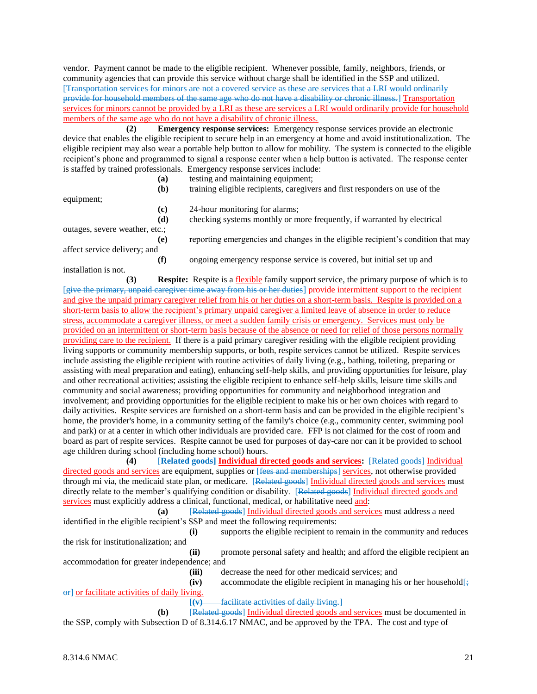vendor. Payment cannot be made to the eligible recipient. Whenever possible, family, neighbors, friends, or community agencies that can provide this service without charge shall be identified in the SSP and utilized. [Transportation services for minors are not a covered service as these are services that a LRI would ordinarily provide for household members of the same age who do not have a disability or chronic illness.] Transportation services for minors cannot be provided by a LRI as these are services a LRI would ordinarily provide for household members of the same age who do not have a disability of chronic illness.

**(2) Emergency response services:** Emergency response services provide an electronic device that enables the eligible recipient to secure help in an emergency at home and avoid institutionalization. The eligible recipient may also wear a portable help button to allow for mobility. The system is connected to the eligible recipient's phone and programmed to signal a response center when a help button is activated. The response center is staffed by trained professionals. Emergency response services include:

|                                | (a) | testing and maintaining equipment;                                               |
|--------------------------------|-----|----------------------------------------------------------------------------------|
|                                | (b) | training eligible recipients, caregivers and first responders on use of the      |
| equipment;                     |     |                                                                                  |
|                                | (c) | 24-hour monitoring for alarms;                                                   |
|                                | (d) | checking systems monthly or more frequently, if warranted by electrical          |
| outages, severe weather, etc.; |     |                                                                                  |
|                                | (e) | reporting emergencies and changes in the eligible recipient's condition that may |
| affect service delivery; and   |     |                                                                                  |
|                                | (f) | ongoing emergency response service is covered, but initial set up and            |
| installation is not.           |     |                                                                                  |

**(3) Respite:** Respite is a flexible family support service, the primary purpose of which is to [give the primary, unpaid caregiver time away from his or her duties] provide intermittent support to the recipient and give the unpaid primary caregiver relief from his or her duties on a short-term basis. Respite is provided on a short-term basis to allow the recipient's primary unpaid caregiver a limited leave of absence in order to reduce stress, accommodate a caregiver illness, or meet a sudden family crisis or emergency. Services must only be provided on an intermittent or short-term basis because of the absence or need for relief of those persons normally providing care to the recipient. If there is a paid primary caregiver residing with the eligible recipient providing living supports or community membership supports, or both, respite services cannot be utilized. Respite services include assisting the eligible recipient with routine activities of daily living (e.g., bathing, toileting, preparing or assisting with meal preparation and eating), enhancing self-help skills, and providing opportunities for leisure, play and other recreational activities; assisting the eligible recipient to enhance self-help skills, leisure time skills and community and social awareness; providing opportunities for community and neighborhood integration and involvement; and providing opportunities for the eligible recipient to make his or her own choices with regard to daily activities. Respite services are furnished on a short-term basis and can be provided in the eligible recipient's home, the provider's home, in a community setting of the family's choice (e.g., community center, swimming pool and park) or at a center in which other individuals are provided care. FFP is not claimed for the cost of room and board as part of respite services. Respite cannot be used for purposes of day-care nor can it be provided to school age children during school (including home school) hours.

**(4)** [**Related goods] Individual directed goods and services:** [Related goods] Individual directed goods and services are equipment, supplies or [fees and memberships] services, not otherwise provided through mi via, the medicaid state plan, or medicare. [Related goods] Individual directed goods and services must directly relate to the member's qualifying condition or disability. [Related goods] Individual directed goods and services must explicitly address a clinical, functional, medical, or habilitative need and:

**(a)** [Related goods] Individual directed goods and services must address a need identified in the eligible recipient's SSP and meet the following requirements: **(i)** supports the eligible recipient to remain in the community and reduces the risk for institutionalization; and **(ii)** promote personal safety and health; and afford the eligible recipient an accommodation for greater independence; and

**(iii)** decrease the need for other medicaid services; and  $(iv)$  accommodate the eligible recipient in managing his or her household  $\frac{1}{x}$  $\Theta$ F or facilitate activities of daily living.

**[(v)** facilitate activities of daily living.]

**(b)** [Related goods] Individual directed goods and services must be documented in the SSP, comply with Subsection D of 8.314.6.17 NMAC, and be approved by the TPA. The cost and type of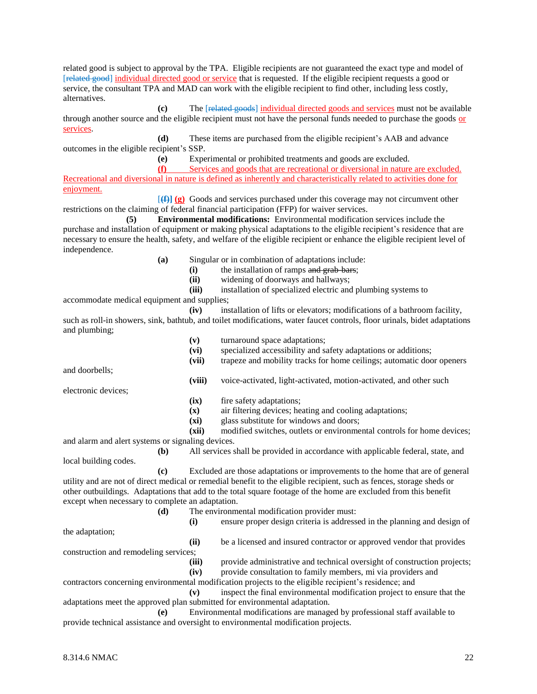related good is subject to approval by the TPA. Eligible recipients are not guaranteed the exact type and model of [related good] individual directed good or service that is requested. If the eligible recipient requests a good or service, the consultant TPA and MAD can work with the eligible recipient to find other, including less costly, alternatives.

**(c)** The [related goods] individual directed goods and services must not be available through another source and the eligible recipient must not have the personal funds needed to purchase the goods or services.

**(d)** These items are purchased from the eligible recipient's AAB and advance outcomes in the eligible recipient's SSP.

**(e)** Experimental or prohibited treatments and goods are excluded.

**(f)** Services and goods that are recreational or diversional in nature are excluded. Recreational and diversional in nature is defined as inherently and characteristically related to activities done for enjoyment.

[**(f)] (g)** Goods and services purchased under this coverage may not circumvent other restrictions on the claiming of federal financial participation (FFP) for waiver services.

**(5) Environmental modifications:** Environmental modification services include the purchase and installation of equipment or making physical adaptations to the eligible recipient's residence that are necessary to ensure the health, safety, and welfare of the eligible recipient or enhance the eligible recipient level of independence.

**(a)** Singular or in combination of adaptations include:

**(i)** the installation of ramps and grab-bars;

**(ii)** widening of doorways and hallways;

**(iii)** installation of specialized electric and plumbing systems to

**(vi)** specialized accessibility and safety adaptations or additions;

**(vii)** trapeze and mobility tracks for home ceilings; automatic door openers

**(viii)** voice-activated, light-activated, motion-activated, and other such

accommodate medical equipment and supplies;

**(iv)** installation of lifts or elevators; modifications of a bathroom facility, such as roll-in showers, sink, bathtub, and toilet modifications, water faucet controls, floor urinals, bidet adaptations and plumbing;

**(v)** turnaround space adaptations;

and doorbells;

electronic devices;

**(ix)** fire safety adaptations;

**(x)** air filtering devices; heating and cooling adaptations;

**(xi)** glass substitute for windows and doors;

**(xii)** modified switches, outlets or environmental controls for home devices; and alarm and alert systems or signaling devices.

**(b)** All services shall be provided in accordance with applicable federal, state, and local building codes.

**(c)** Excluded are those adaptations or improvements to the home that are of general utility and are not of direct medical or remedial benefit to the eligible recipient, such as fences, storage sheds or other outbuildings. Adaptations that add to the total square footage of the home are excluded from this benefit except when necessary to complete an adaptation.

**(d)** The environmental modification provider must:

the adaptation;

**(i)** ensure proper design criteria is addressed in the planning and design of

**(ii)** be a licensed and insured contractor or approved vendor that provides construction and remodeling services;

**(iii)** provide administrative and technical oversight of construction projects;

**(iv)** provide consultation to family members, mi via providers and

contractors concerning environmental modification projects to the eligible recipient's residence; and

**(v)** inspect the final environmental modification project to ensure that the adaptations meet the approved plan submitted for environmental adaptation.

**(e)** Environmental modifications are managed by professional staff available to provide technical assistance and oversight to environmental modification projects.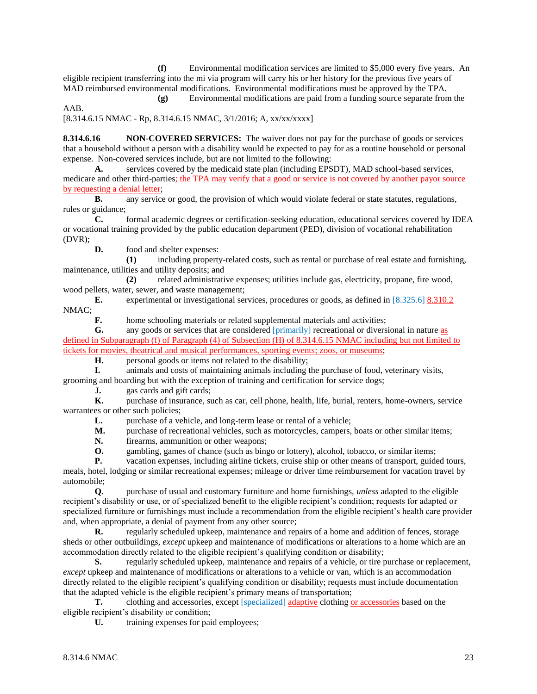**(f)** Environmental modification services are limited to \$5,000 every five years. An eligible recipient transferring into the mi via program will carry his or her history for the previous five years of MAD reimbursed environmental modifications. Environmental modifications must be approved by the TPA.

**(g)** Environmental modifications are paid from a funding source separate from the AAB.

[8.314.6.15 NMAC - Rp, 8.314.6.15 NMAC, 3/1/2016; A, xx/xx/xxxx]

**8.314.6.16 NON-COVERED SERVICES:** The waiver does not pay for the purchase of goods or services that a household without a person with a disability would be expected to pay for as a routine household or personal expense. Non-covered services include, but are not limited to the following:

**A.** services covered by the medicaid state plan (including EPSDT), MAD school-based services, medicare and other third-parties; the TPA may verify that a good or service is not covered by another payor source by requesting a denial letter;

**B.** any service or good, the provision of which would violate federal or state statutes, regulations, rules or guidance;

**C.** formal academic degrees or certification-seeking education, educational services covered by IDEA or vocational training provided by the public education department (PED), division of vocational rehabilitation (DVR);

**D.** food and shelter expenses:

**(1)** including property-related costs, such as rental or purchase of real estate and furnishing, maintenance, utilities and utility deposits; and

**(2)** related administrative expenses; utilities include gas, electricity, propane, fire wood, wood pellets, water, sewer, and waste management;

**E.** experimental or investigational services, procedures or goods, as defined in [8.325.6] 8.310.2 NMAC;

**F.** home schooling materials or related supplemental materials and activities;

**G.** any goods or services that are considered  $\overrightarrow{primarily}$  recreational or diversional in nature as defined in Subparagraph (f) of Paragraph (4) of Subsection (H) of 8.314.6.15 NMAC including but not limited to tickets for movies, theatrical and musical performances, sporting events; zoos, or museums;

**H.** personal goods or items not related to the disability;

**I.** animals and costs of maintaining animals including the purchase of food, veterinary visits,

grooming and boarding but with the exception of training and certification for service dogs;

**J.** gas cards and gift cards;

**K.** purchase of insurance, such as car, cell phone, health, life, burial, renters, home-owners, service warrantees or other such policies;

L. purchase of a vehicle, and long-term lease or rental of a vehicle;

**M.** purchase of recreational vehicles, such as motorcycles, campers, boats or other similar items;

**N.** firearms, ammunition or other weapons;

**O.** gambling, games of chance (such as bingo or lottery), alcohol, tobacco, or similar items;

**P.** vacation expenses, including airline tickets, cruise ship or other means of transport, guided tours,

meals, hotel, lodging or similar recreational expenses; mileage or driver time reimbursement for vacation travel by automobile;

**Q.** purchase of usual and customary furniture and home furnishings, *unless* adapted to the eligible recipient's disability or use, or of specialized benefit to the eligible recipient's condition; requests for adapted or specialized furniture or furnishings must include a recommendation from the eligible recipient's health care provider and, when appropriate, a denial of payment from any other source;

**R.** regularly scheduled upkeep, maintenance and repairs of a home and addition of fences, storage sheds or other outbuildings, *except* upkeep and maintenance of modifications or alterations to a home which are an accommodation directly related to the eligible recipient's qualifying condition or disability;

**S.** regularly scheduled upkeep, maintenance and repairs of a vehicle, or tire purchase or replacement, *except* upkeep and maintenance of modifications or alterations to a vehicle or van, which is an accommodation directly related to the eligible recipient's qualifying condition or disability; requests must include documentation that the adapted vehicle is the eligible recipient's primary means of transportation;

**T.** clothing and accessories, except [specialized] adaptive clothing or accessories based on the eligible recipient's disability or condition;

**U.** training expenses for paid employees;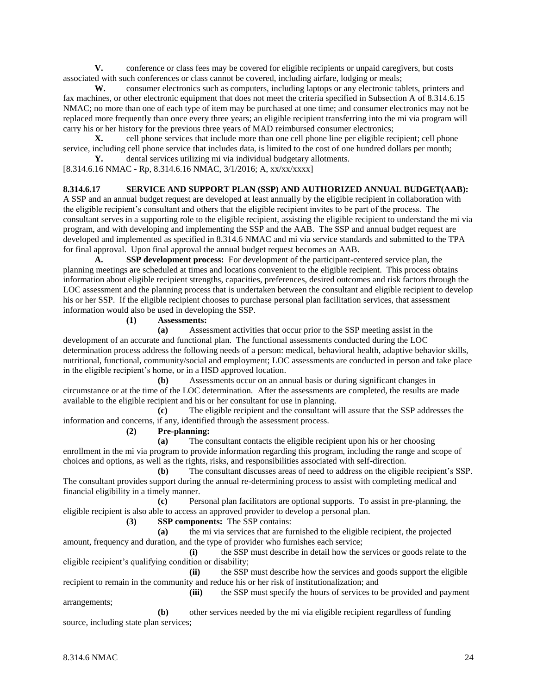**V.** conference or class fees may be covered for eligible recipients or unpaid caregivers, but costs associated with such conferences or class cannot be covered, including airfare, lodging or meals;

**W.** consumer electronics such as computers, including laptops or any electronic tablets, printers and fax machines, or other electronic equipment that does not meet the criteria specified in Subsection A of 8.314.6.15 NMAC; no more than one of each type of item may be purchased at one time; and consumer electronics may not be replaced more frequently than once every three years; an eligible recipient transferring into the mi via program will carry his or her history for the previous three years of MAD reimbursed consumer electronics;

**X.** cell phone services that include more than one cell phone line per eligible recipient; cell phone service, including cell phone service that includes data, is limited to the cost of one hundred dollars per month;

**Y.** dental services utilizing mi via individual budgetary allotments.

[8.314.6.16 NMAC - Rp, 8.314.6.16 NMAC, 3/1/2016; A, xx/xx/xxxx]

## **8.314.6.17 SERVICE AND SUPPORT PLAN (SSP) AND AUTHORIZED ANNUAL BUDGET(AAB):**

A SSP and an annual budget request are developed at least annually by the eligible recipient in collaboration with the eligible recipient's consultant and others that the eligible recipient invites to be part of the process. The consultant serves in a supporting role to the eligible recipient, assisting the eligible recipient to understand the mi via program, and with developing and implementing the SSP and the AAB. The SSP and annual budget request are developed and implemented as specified in 8.314.6 NMAC and mi via service standards and submitted to the TPA for final approval. Upon final approval the annual budget request becomes an AAB.

**A. SSP development process:** For development of the participant-centered service plan, the planning meetings are scheduled at times and locations convenient to the eligible recipient. This process obtains information about eligible recipient strengths, capacities, preferences, desired outcomes and risk factors through the LOC assessment and the planning process that is undertaken between the consultant and eligible recipient to develop his or her SSP. If the eligible recipient chooses to purchase personal plan facilitation services, that assessment information would also be used in developing the SSP.

## **(1) Assessments:**

**(a)** Assessment activities that occur prior to the SSP meeting assist in the development of an accurate and functional plan. The functional assessments conducted during the LOC determination process address the following needs of a person: medical, behavioral health, adaptive behavior skills, nutritional, functional, community/social and employment; LOC assessments are conducted in person and take place in the eligible recipient's home, or in a HSD approved location.

**(b)** Assessments occur on an annual basis or during significant changes in circumstance or at the time of the LOC determination. After the assessments are completed, the results are made available to the eligible recipient and his or her consultant for use in planning.

**(c)** The eligible recipient and the consultant will assure that the SSP addresses the information and concerns, if any, identified through the assessment process.

**(2) Pre-planning:**

**(a)** The consultant contacts the eligible recipient upon his or her choosing enrollment in the mi via program to provide information regarding this program, including the range and scope of choices and options, as well as the rights, risks, and responsibilities associated with self-direction.

**(b)** The consultant discusses areas of need to address on the eligible recipient's SSP. The consultant provides support during the annual re-determining process to assist with completing medical and financial eligibility in a timely manner.

**(c)** Personal plan facilitators are optional supports. To assist in pre-planning, the eligible recipient is also able to access an approved provider to develop a personal plan.

**(3) SSP components:** The SSP contains:

**(a)** the mi via services that are furnished to the eligible recipient, the projected amount, frequency and duration, and the type of provider who furnishes each service;

**(i)** the SSP must describe in detail how the services or goods relate to the eligible recipient's qualifying condition or disability;

**(ii)** the SSP must describe how the services and goods support the eligible recipient to remain in the community and reduce his or her risk of institutionalization; and

**(iii)** the SSP must specify the hours of services to be provided and payment arrangements;

**(b)** other services needed by the mi via eligible recipient regardless of funding source, including state plan services;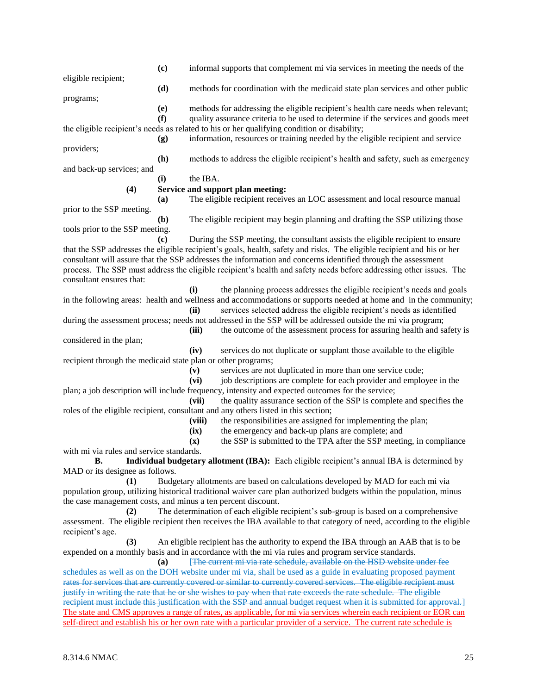|                                                              | (c)                         | informal supports that complement mi via services in meeting the needs of the                                                                                                                                                           |
|--------------------------------------------------------------|-----------------------------|-----------------------------------------------------------------------------------------------------------------------------------------------------------------------------------------------------------------------------------------|
| eligible recipient;                                          | (d)                         | methods for coordination with the medicaid state plan services and other public                                                                                                                                                         |
| programs;                                                    |                             |                                                                                                                                                                                                                                         |
|                                                              | (e)                         | methods for addressing the eligible recipient's health care needs when relevant;                                                                                                                                                        |
|                                                              | (f)                         | quality assurance criteria to be used to determine if the services and goods meet                                                                                                                                                       |
|                                                              |                             | the eligible recipient's needs as related to his or her qualifying condition or disability;<br>information, resources or training needed by the eligible recipient and service                                                          |
| providers;                                                   | (g)                         |                                                                                                                                                                                                                                         |
|                                                              | (h)                         | methods to address the eligible recipient's health and safety, such as emergency                                                                                                                                                        |
| and back-up services; and                                    |                             |                                                                                                                                                                                                                                         |
|                                                              | (i)                         | the IBA.                                                                                                                                                                                                                                |
| (4)                                                          |                             | Service and support plan meeting:                                                                                                                                                                                                       |
|                                                              | (a)                         | The eligible recipient receives an LOC assessment and local resource manual                                                                                                                                                             |
| prior to the SSP meeting.                                    |                             |                                                                                                                                                                                                                                         |
|                                                              | (b)                         | The eligible recipient may begin planning and drafting the SSP utilizing those                                                                                                                                                          |
| tools prior to the SSP meeting.                              | $\left( \mathbf{c} \right)$ | During the SSP meeting, the consultant assists the eligible recipient to ensure                                                                                                                                                         |
|                                                              |                             | that the SSP addresses the eligible recipient's goals, health, safety and risks. The eligible recipient and his or her                                                                                                                  |
|                                                              |                             | consultant will assure that the SSP addresses the information and concerns identified through the assessment                                                                                                                            |
|                                                              |                             | process. The SSP must address the eligible recipient's health and safety needs before addressing other issues. The                                                                                                                      |
| consultant ensures that:                                     |                             |                                                                                                                                                                                                                                         |
|                                                              |                             | the planning process addresses the eligible recipient's needs and goals<br>(i)                                                                                                                                                          |
|                                                              |                             | in the following areas: health and wellness and accommodations or supports needed at home and in the community;                                                                                                                         |
|                                                              |                             | services selected address the eligible recipient's needs as identified<br>(ii)                                                                                                                                                          |
|                                                              |                             | during the assessment process; needs not addressed in the SSP will be addressed outside the mi via program;                                                                                                                             |
| considered in the plan;                                      |                             | the outcome of the assessment process for assuring health and safety is<br>(iii)                                                                                                                                                        |
|                                                              |                             | (iv)<br>services do not duplicate or supplant those available to the eligible                                                                                                                                                           |
| recipient through the medicaid state plan or other programs; |                             |                                                                                                                                                                                                                                         |
|                                                              |                             | services are not duplicated in more than one service code;<br>(v)                                                                                                                                                                       |
|                                                              |                             | job descriptions are complete for each provider and employee in the<br>(vi)                                                                                                                                                             |
|                                                              |                             | plan; a job description will include frequency, intensity and expected outcomes for the service;                                                                                                                                        |
|                                                              |                             | the quality assurance section of the SSP is complete and specifies the<br>(vii)                                                                                                                                                         |
|                                                              |                             | roles of the eligible recipient, consultant and any others listed in this section;                                                                                                                                                      |
|                                                              |                             | the responsibilities are assigned for implementing the plan;<br>(viii)                                                                                                                                                                  |
|                                                              |                             | the emergency and back-up plans are complete; and<br>(ix)<br>the SSP is submitted to the TPA after the SSP meeting, in compliance<br>$(\mathbf{x})$                                                                                     |
| with mi via rules and service standards.                     |                             |                                                                                                                                                                                                                                         |
| <b>B.</b>                                                    |                             | Individual budgetary allotment (IBA): Each eligible recipient's annual IBA is determined by                                                                                                                                             |
| MAD or its designee as follows.                              |                             |                                                                                                                                                                                                                                         |
| (1)                                                          |                             | Budgetary allotments are based on calculations developed by MAD for each mi via                                                                                                                                                         |
|                                                              |                             | population group, utilizing historical traditional waiver care plan authorized budgets within the population, minus                                                                                                                     |
| the case management costs, and minus a ten percent discount. |                             |                                                                                                                                                                                                                                         |
| (2)                                                          |                             | The determination of each eligible recipient's sub-group is based on a comprehensive                                                                                                                                                    |
| recipient's age.                                             |                             | assessment. The eligible recipient then receives the IBA available to that category of need, according to the eligible                                                                                                                  |
| (3)                                                          |                             | An eligible recipient has the authority to expend the IBA through an AAB that is to be                                                                                                                                                  |
|                                                              |                             | expended on a monthly basis and in accordance with the mi via rules and program service standards.                                                                                                                                      |
|                                                              | (a)                         | [The current mi via rate schedule, available on the HSD website under fee                                                                                                                                                               |
|                                                              |                             | schedules as well as on the DOH website under mi via, shall be used as a guide in evaluating proposed payment                                                                                                                           |
|                                                              |                             | rates for services that are currently covered or similar to currently covered services. The eligible recipient must                                                                                                                     |
|                                                              |                             | justify in writing the rate that he or she wishes to pay when that rate exceeds the rate schedule. The eligible<br>recipient must include this justification with the SSP and annual budget request when it is submitted for approval.] |
|                                                              |                             |                                                                                                                                                                                                                                         |

The state and CMS approves a range of rates, as applicable, for mi via services wherein each recipient or EOR can self-direct and establish his or her own rate with a particular provider of a service. The current rate schedule is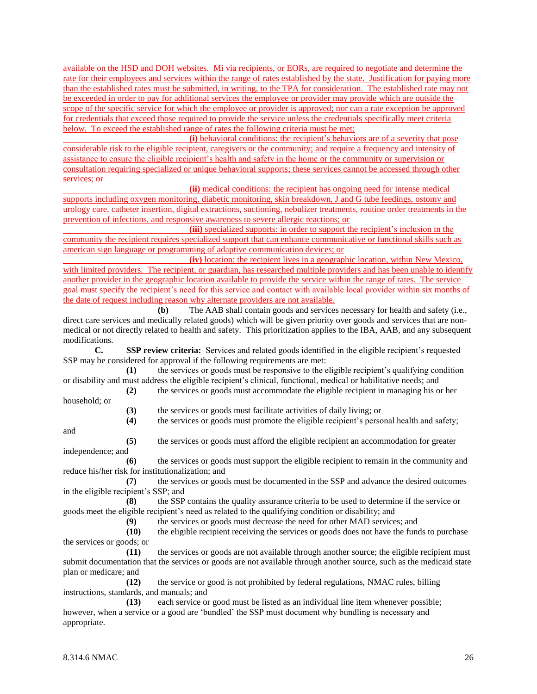available on the HSD and DOH websites. Mi via recipients, or EORs, are required to negotiate and determine the rate for their employees and services within the range of rates established by the state. Justification for paying more than the established rates must be submitted, in writing, to the TPA for consideration. The established rate may not be exceeded in order to pay for additional services the employee or provider may provide which are outside the scope of the specific service for which the employee or provider is approved; nor can a rate exception be approved for credentials that exceed those required to provide the service unless the credentials specifically meet criteria below. To exceed the established range of rates the following criteria must be met:

**(i)** behavioral conditions: the recipient's behaviors are of a severity that pose considerable risk to the eligible recipient, caregivers or the community; and require a frequency and intensity of assistance to ensure the eligible recipient's health and safety in the home or the community or supervision or consultation requiring specialized or unique behavioral supports; these services cannot be accessed through other services; or

**(ii)** medical conditions: the recipient has ongoing need for intense medical supports including oxygen monitoring, diabetic monitoring, skin breakdown, J and G tube feedings, ostomy and

urology care, catheter insertion, digital extractions, suctioning, nebulizer treatments, routine order treatments in the prevention of infections, and responsive awareness to severe allergic reactions; or

**(iii)** specialized supports: in order to support the recipient's inclusion in the community the recipient requires specialized support that can enhance communicative or functional skills such as american sign language or programming of adaptive communication devices; or

**(iv)** location: the recipient lives in a geographic location, within New Mexico, with limited providers. The recipient, or guardian, has researched multiple providers and has been unable to identify another provider in the geographic location available to provide the service within the range of rates. The service goal must specify the recipient's need for this service and contact with available local provider within six months of the date of request including reason why alternate providers are not available.

**(b)** The AAB shall contain goods and services necessary for health and safety (i.e., direct care services and medically related goods) which will be given priority over goods and services that are nonmedical or not directly related to health and safety. This prioritization applies to the IBA, AAB, and any subsequent modifications.

**C. SSP review criteria:** Services and related goods identified in the eligible recipient's requested SSP may be considered for approval if the following requirements are met:

**(1)** the services or goods must be responsive to the eligible recipient's qualifying condition or disability and must address the eligible recipient's clinical, functional, medical or habilitative needs; and

**(2)** the services or goods must accommodate the eligible recipient in managing his or her household; or

**(3)** the services or goods must facilitate activities of daily living; or

**(4)** the services or goods must promote the eligible recipient's personal health and safety;

and

**(5)** the services or goods must afford the eligible recipient an accommodation for greater independence; and

**(6)** the services or goods must support the eligible recipient to remain in the community and reduce his/her risk for institutionalization; and

**(7)** the services or goods must be documented in the SSP and advance the desired outcomes in the eligible recipient's SSP; and

**(8)** the SSP contains the quality assurance criteria to be used to determine if the service or goods meet the eligible recipient's need as related to the qualifying condition or disability; and

**(9)** the services or goods must decrease the need for other MAD services; and

**(10)** the eligible recipient receiving the services or goods does not have the funds to purchase the services or goods; or

**(11)** the services or goods are not available through another source; the eligible recipient must submit documentation that the services or goods are not available through another source, such as the medicaid state plan or medicare; and

**(12)** the service or good is not prohibited by federal regulations, NMAC rules, billing instructions, standards, and manuals; and

**(13)** each service or good must be listed as an individual line item whenever possible; however, when a service or a good are 'bundled' the SSP must document why bundling is necessary and appropriate.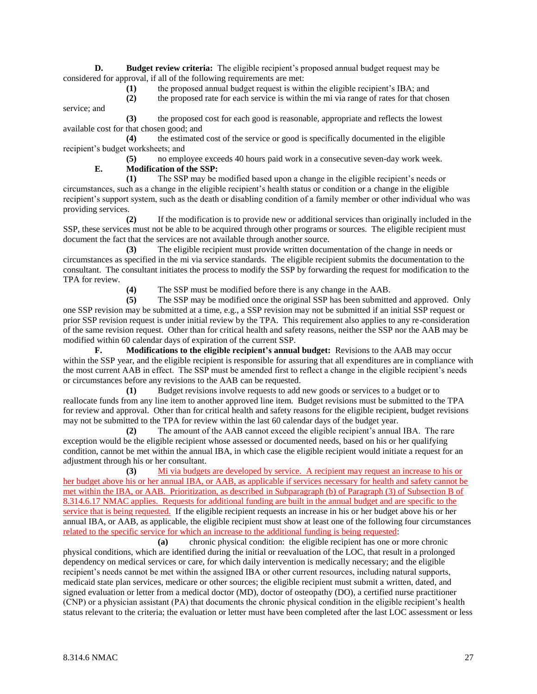**D. Budget review criteria:** The eligible recipient's proposed annual budget request may be considered for approval, if all of the following requirements are met:

**(1)** the proposed annual budget request is within the eligible recipient's IBA; and

**(2)** the proposed rate for each service is within the mi via range of rates for that chosen service; and

**(3)** the proposed cost for each good is reasonable, appropriate and reflects the lowest available cost for that chosen good; and

**(4)** the estimated cost of the service or good is specifically documented in the eligible recipient's budget worksheets; and

**(5)** no employee exceeds 40 hours paid work in a consecutive seven-day work week.

**E. Modification of the SSP:**

**(1)** The SSP may be modified based upon a change in the eligible recipient's needs or circumstances, such as a change in the eligible recipient's health status or condition or a change in the eligible recipient's support system, such as the death or disabling condition of a family member or other individual who was providing services.

**(2)** If the modification is to provide new or additional services than originally included in the SSP, these services must not be able to be acquired through other programs or sources. The eligible recipient must document the fact that the services are not available through another source.

**(3)** The eligible recipient must provide written documentation of the change in needs or circumstances as specified in the mi via service standards. The eligible recipient submits the documentation to the consultant. The consultant initiates the process to modify the SSP by forwarding the request for modification to the TPA for review.

**(4)** The SSP must be modified before there is any change in the AAB.

**(5)** The SSP may be modified once the original SSP has been submitted and approved. Only one SSP revision may be submitted at a time, e.g., a SSP revision may not be submitted if an initial SSP request or prior SSP revision request is under initial review by the TPA. This requirement also applies to any re-consideration of the same revision request. Other than for critical health and safety reasons, neither the SSP nor the AAB may be modified within 60 calendar days of expiration of the current SSP.

**F. Modifications to the eligible recipient's annual budget:** Revisions to the AAB may occur within the SSP year, and the eligible recipient is responsible for assuring that all expenditures are in compliance with the most current AAB in effect. The SSP must be amended first to reflect a change in the eligible recipient's needs or circumstances before any revisions to the AAB can be requested.

**(1)** Budget revisions involve requests to add new goods or services to a budget or to reallocate funds from any line item to another approved line item. Budget revisions must be submitted to the TPA for review and approval. Other than for critical health and safety reasons for the eligible recipient, budget revisions may not be submitted to the TPA for review within the last 60 calendar days of the budget year.

**(2)** The amount of the AAB cannot exceed the eligible recipient's annual IBA. The rare exception would be the eligible recipient whose assessed or documented needs, based on his or her qualifying condition, cannot be met within the annual IBA, in which case the eligible recipient would initiate a request for an adjustment through his or her consultant.

**(3)** Mi via budgets are developed by service. A recipient may request an increase to his or her budget above his or her annual IBA, or AAB, as applicable if services necessary for health and safety cannot be met within the IBA, or AAB. Prioritization, as described in Subparagraph (b) of Paragraph (3) of Subsection B of 8.314.6.17 NMAC applies. Requests for additional funding are built in the annual budget and are specific to the service that is being requested. If the eligible recipient requests an increase in his or her budget above his or her annual IBA, or AAB, as applicable, the eligible recipient must show at least one of the following four circumstances related to the specific service for which an increase to the additional funding is being requested:

**(a)** chronic physical condition: the eligible recipient has one or more chronic physical conditions, which are identified during the initial or reevaluation of the LOC, that result in a prolonged dependency on medical services or care, for which daily intervention is medically necessary; and the eligible recipient's needs cannot be met within the assigned IBA or other current resources, including natural supports, medicaid state plan services, medicare or other sources; the eligible recipient must submit a written, dated, and signed evaluation or letter from a medical doctor (MD), doctor of osteopathy (DO), a certified nurse practitioner (CNP) or a physician assistant (PA) that documents the chronic physical condition in the eligible recipient's health status relevant to the criteria; the evaluation or letter must have been completed after the last LOC assessment or less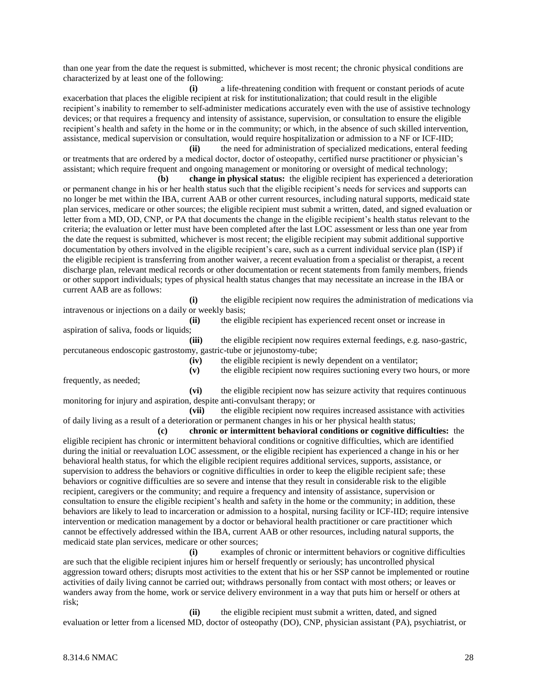than one year from the date the request is submitted, whichever is most recent; the chronic physical conditions are characterized by at least one of the following:

**(i)** a life-threatening condition with frequent or constant periods of acute exacerbation that places the eligible recipient at risk for institutionalization; that could result in the eligible recipient's inability to remember to self-administer medications accurately even with the use of assistive technology devices; or that requires a frequency and intensity of assistance, supervision, or consultation to ensure the eligible recipient's health and safety in the home or in the community; or which, in the absence of such skilled intervention, assistance, medical supervision or consultation, would require hospitalization or admission to a NF or ICF-IID;

**(ii)** the need for administration of specialized medications, enteral feeding or treatments that are ordered by a medical doctor, doctor of osteopathy, certified nurse practitioner or physician's assistant; which require frequent and ongoing management or monitoring or oversight of medical technology;

**(b) change in physical status:** the eligible recipient has experienced a deterioration or permanent change in his or her health status such that the eligible recipient's needs for services and supports can no longer be met within the IBA, current AAB or other current resources, including natural supports, medicaid state plan services, medicare or other sources; the eligible recipient must submit a written, dated, and signed evaluation or letter from a MD, OD, CNP, or PA that documents the change in the eligible recipient's health status relevant to the criteria; the evaluation or letter must have been completed after the last LOC assessment or less than one year from the date the request is submitted, whichever is most recent; the eligible recipient may submit additional supportive documentation by others involved in the eligible recipient's care, such as a current individual service plan (ISP) if the eligible recipient is transferring from another waiver, a recent evaluation from a specialist or therapist, a recent discharge plan, relevant medical records or other documentation or recent statements from family members, friends or other support individuals; types of physical health status changes that may necessitate an increase in the IBA or current AAB are as follows:

**(i)** the eligible recipient now requires the administration of medications via intravenous or injections on a daily or weekly basis;

**(ii)** the eligible recipient has experienced recent onset or increase in

**(v)** the eligible recipient now requires suctioning every two hours, or more

**(iii)** the eligible recipient now requires external feedings, e.g. naso-gastric, percutaneous endoscopic gastrostomy, gastric-tube or jejunostomy-tube;

**(iv)** the eligible recipient is newly dependent on a ventilator;

frequently, as needed;

aspiration of saliva, foods or liquids;

**(vi)** the eligible recipient now has seizure activity that requires continuous monitoring for injury and aspiration, despite anti-convulsant therapy; or

**(vii)** the eligible recipient now requires increased assistance with activities of daily living as a result of a deterioration or permanent changes in his or her physical health status;

**(c) chronic or intermittent behavioral conditions or cognitive difficulties:** the eligible recipient has chronic or intermittent behavioral conditions or cognitive difficulties, which are identified during the initial or reevaluation LOC assessment, or the eligible recipient has experienced a change in his or her behavioral health status, for which the eligible recipient requires additional services, supports, assistance, or supervision to address the behaviors or cognitive difficulties in order to keep the eligible recipient safe; these behaviors or cognitive difficulties are so severe and intense that they result in considerable risk to the eligible recipient, caregivers or the community; and require a frequency and intensity of assistance, supervision or consultation to ensure the eligible recipient's health and safety in the home or the community; in addition, these behaviors are likely to lead to incarceration or admission to a hospital, nursing facility or ICF-IID; require intensive intervention or medication management by a doctor or behavioral health practitioner or care practitioner which cannot be effectively addressed within the IBA, current AAB or other resources, including natural supports, the medicaid state plan services, medicare or other sources;

**(i)** examples of chronic or intermittent behaviors or cognitive difficulties are such that the eligible recipient injures him or herself frequently or seriously; has uncontrolled physical aggression toward others; disrupts most activities to the extent that his or her SSP cannot be implemented or routine activities of daily living cannot be carried out; withdraws personally from contact with most others; or leaves or wanders away from the home, work or service delivery environment in a way that puts him or herself or others at risk;

**(ii)** the eligible recipient must submit a written, dated, and signed evaluation or letter from a licensed MD, doctor of osteopathy (DO), CNP, physician assistant (PA), psychiatrist, or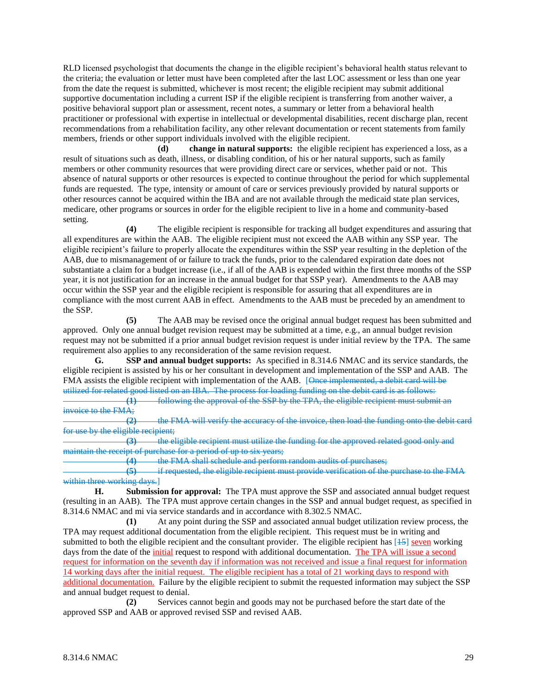RLD licensed psychologist that documents the change in the eligible recipient's behavioral health status relevant to the criteria; the evaluation or letter must have been completed after the last LOC assessment or less than one year from the date the request is submitted, whichever is most recent; the eligible recipient may submit additional supportive documentation including a current ISP if the eligible recipient is transferring from another waiver, a positive behavioral support plan or assessment, recent notes, a summary or letter from a behavioral health practitioner or professional with expertise in intellectual or developmental disabilities, recent discharge plan, recent recommendations from a rehabilitation facility, any other relevant documentation or recent statements from family members, friends or other support individuals involved with the eligible recipient.

**(d) change in natural supports:** the eligible recipient has experienced a loss, as a result of situations such as death, illness, or disabling condition, of his or her natural supports, such as family members or other community resources that were providing direct care or services, whether paid or not. This absence of natural supports or other resources is expected to continue throughout the period for which supplemental funds are requested. The type, intensity or amount of care or services previously provided by natural supports or other resources cannot be acquired within the IBA and are not available through the medicaid state plan services, medicare, other programs or sources in order for the eligible recipient to live in a home and community-based setting.

**(4)** The eligible recipient is responsible for tracking all budget expenditures and assuring that all expenditures are within the AAB. The eligible recipient must not exceed the AAB within any SSP year. The eligible recipient's failure to properly allocate the expenditures within the SSP year resulting in the depletion of the AAB, due to mismanagement of or failure to track the funds, prior to the calendared expiration date does not substantiate a claim for a budget increase (i.e., if all of the AAB is expended within the first three months of the SSP year, it is not justification for an increase in the annual budget for that SSP year). Amendments to the AAB may occur within the SSP year and the eligible recipient is responsible for assuring that all expenditures are in compliance with the most current AAB in effect. Amendments to the AAB must be preceded by an amendment to the SSP.

**(5)** The AAB may be revised once the original annual budget request has been submitted and approved. Only one annual budget revision request may be submitted at a time, e.g., an annual budget revision request may not be submitted if a prior annual budget revision request is under initial review by the TPA. The same requirement also applies to any reconsideration of the same revision request.

**G. SSP and annual budget supports:** As specified in 8.314.6 NMAC and its service standards, the eligible recipient is assisted by his or her consultant in development and implementation of the SSP and AAB. The FMA assists the eligible recipient with implementation of the AAB. [Once implemented, a debit card will be utilized for related good listed on an IBA. The process for loading funding on the debit card is as follows:

**(1)** following the approval of the SSP by the TPA, the eligible recipient must submit an invoice to the FMA;

**(2)** the FMA will verify the accuracy of the invoice, then load the funding onto the debit card for use by the eligible recipient;

**(3)** the eligible recipient must utilize the funding for the approved related good only and maintain the receipt of purchase for a period of up to six years;

**(4)** the FMA shall schedule and perform random audits of purchases;

**(5)** if requested, the eligible recipient must provide verification of the purchase to the FMA within three working days.]

**H. Submission for approval:** The TPA must approve the SSP and associated annual budget request (resulting in an AAB). The TPA must approve certain changes in the SSP and annual budget request, as specified in 8.314.6 NMAC and mi via service standards and in accordance with 8.302.5 NMAC*.*

**(1)** At any point during the SSP and associated annual budget utilization review process, the TPA may request additional documentation from the eligible recipient. This request must be in writing and submitted to both the eligible recipient and the consultant provider. The eligible recipient has [15] seven working days from the date of the initial request to respond with additional documentation. The TPA will issue a second request for information on the seventh day if information was not received and issue a final request for information 14 working days after the initial request. The eligible recipient has a total of 21 working days to respond with additional documentation. Failure by the eligible recipient to submit the requested information may subject the SSP and annual budget request to denial.

**(2)** Services cannot begin and goods may not be purchased before the start date of the approved SSP and AAB or approved revised SSP and revised AAB.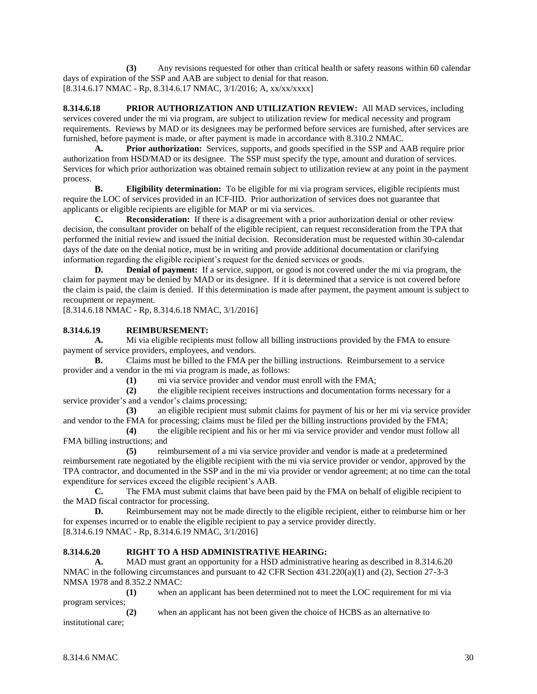**(3)** Any revisions requested for other than critical health or safety reasons within 60 calendar days of expiration of the SSP and AAB are subject to denial for that reason. [8.314.6.17 NMAC - Rp, 8.314.6.17 NMAC, 3/1/2016; A, xx/xx/xxxx]

**8.314.6.18 PRIOR AUTHORIZATION AND UTILIZATION REVIEW:** All MAD services, including services covered under the mi via program, are subject to utilization review for medical necessity and program requirements. Reviews by MAD or its designees may be performed before services are furnished, after services are furnished, before payment is made, or after payment is made in accordance with 8.310.2 NMAC.

**A. Prior authorization:** Services, supports, and goods specified in the SSP and AAB require prior authorization from HSD/MAD or its designee. The SSP must specify the type, amount and duration of services. Services for which prior authorization was obtained remain subject to utilization review at any point in the payment process.

**B. Eligibility determination:** To be eligible for mi via program services, eligible recipients must require the LOC of services provided in an ICF-IID. Prior authorization of services does not guarantee that applicants or eligible recipients are eligible for MAP or mi via services.

**C. Reconsideration:** If there is a disagreement with a prior authorization denial or other review decision, the consultant provider on behalf of the eligible recipient, can request reconsideration from the TPA that performed the initial review and issued the initial decision. Reconsideration must be requested within 30-calendar days of the date on the denial notice, must be in writing and provide additional documentation or clarifying information regarding the eligible recipient's request for the denied services or goods.

**D. Denial of payment:** If a service, support, or good is not covered under the mi via program, the claim for payment may be denied by MAD or its designee. If it is determined that a service is not covered before the claim is paid, the claim is denied. If this determination is made after payment, the payment amount is subject to recoupment or repayment.

[8.314.6.18 NMAC - Rp, 8.314.6.18 NMAC, 3/1/2016]

## **8.314.6.19 REIMBURSEMENT:**

**A.** Mi via eligible recipients must follow all billing instructions provided by the FMA to ensure payment of service providers, employees, and vendors.

**B.** Claims must be billed to the FMA per the billing instructions. Reimbursement to a service provider and a vendor in the mi via program is made, as follows:

**(1)** mi via service provider and vendor must enroll with the FMA;

**(2)** the eligible recipient receives instructions and documentation forms necessary for a service provider's and a vendor's claims processing;

**(3)** an eligible recipient must submit claims for payment of his or her mi via service provider and vendor to the FMA for processing; claims must be filed per the billing instructions provided by the FMA;

**(4)** the eligible recipient and his or her mi via service provider and vendor must follow all FMA billing instructions; and

**(5)** reimbursement of a mi via service provider and vendor is made at a predetermined reimbursement rate negotiated by the eligible recipient with the mi via service provider or vendor, approved by the TPA contractor, and documented in the SSP and in the mi via provider or vendor agreement; at no time can the total expenditure for services exceed the eligible recipient's AAB.

**C.** The FMA must submit claims that have been paid by the FMA on behalf of eligible recipient to the MAD fiscal contractor for processing.

**D.** Reimbursement may not be made directly to the eligible recipient, either to reimburse him or her for expenses incurred or to enable the eligible recipient to pay a service provider directly. [8.314.6.19 NMAC - Rp, 8.314.6.19 NMAC, 3/1/2016]

## **8.314.6.20 RIGHT TO A HSD ADMINISTRATIVE HEARING:**

**A.** MAD must grant an opportunity for a HSD administrative hearing as described in 8.314.6.20 NMAC in the following circumstances and pursuant to 42 CFR Section 431.220(a)(1) and (2), Section 27-3-3 NMSA 1978 and 8.352.2 NMAC:

**(1)** when an applicant has been determined not to meet the LOC requirement for mi via program services;

**(2)** when an applicant has not been given the choice of HCBS as an alternative to institutional care;